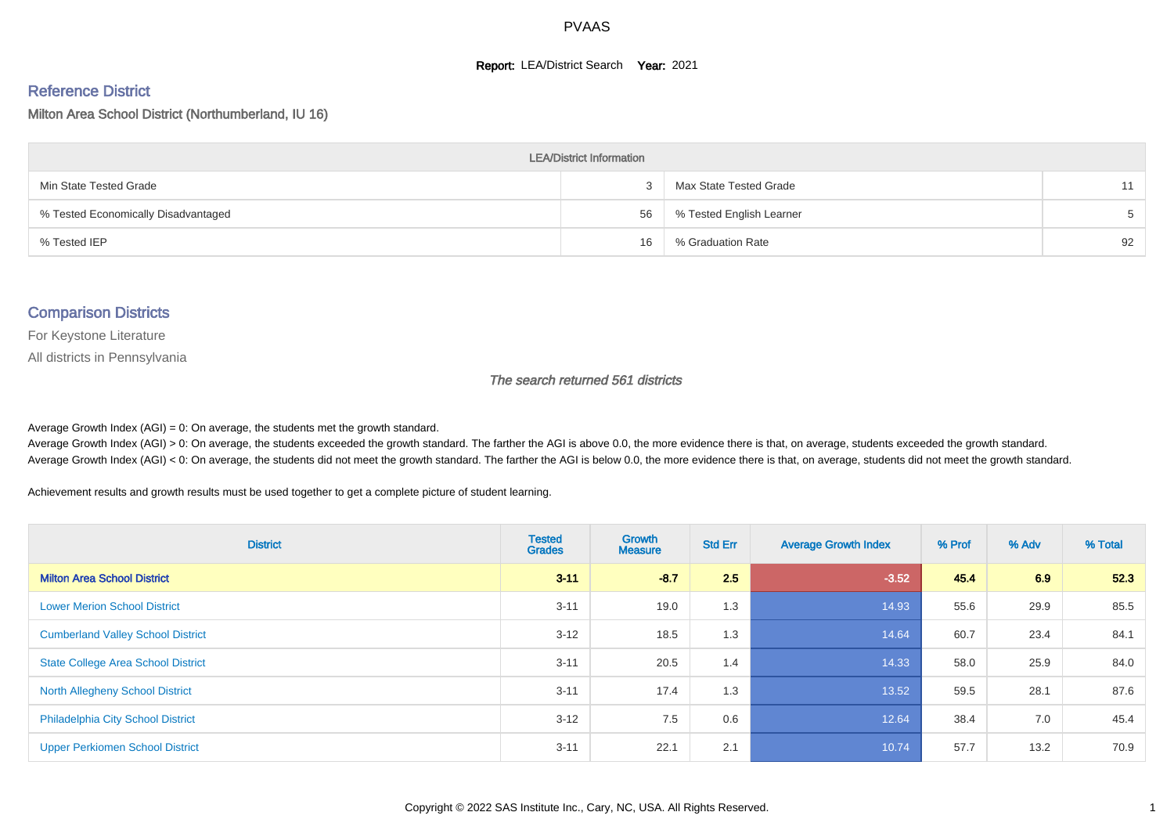#### **Report: LEA/District Search Year: 2021**

# Reference District

Milton Area School District (Northumberland, IU 16)

| <b>LEA/District Information</b>     |    |                          |    |  |  |  |  |  |  |  |
|-------------------------------------|----|--------------------------|----|--|--|--|--|--|--|--|
| Min State Tested Grade              |    | Max State Tested Grade   | 11 |  |  |  |  |  |  |  |
| % Tested Economically Disadvantaged | 56 | % Tested English Learner |    |  |  |  |  |  |  |  |
| % Tested IEP                        | 16 | % Graduation Rate        | 92 |  |  |  |  |  |  |  |

#### Comparison Districts

For Keystone Literature

All districts in Pennsylvania

The search returned 561 districts

Average Growth Index  $(AGI) = 0$ : On average, the students met the growth standard.

Average Growth Index (AGI) > 0: On average, the students exceeded the growth standard. The farther the AGI is above 0.0, the more evidence there is that, on average, students exceeded the growth standard. Average Growth Index (AGI) < 0: On average, the students did not meet the growth standard. The farther the AGI is below 0.0, the more evidence there is that, on average, students did not meet the growth standard.

Achievement results and growth results must be used together to get a complete picture of student learning.

| <b>District</b>                           | <b>Tested</b><br><b>Grades</b> | Growth<br><b>Measure</b> | <b>Std Err</b> | <b>Average Growth Index</b> | % Prof | % Adv | % Total |
|-------------------------------------------|--------------------------------|--------------------------|----------------|-----------------------------|--------|-------|---------|
| <b>Milton Area School District</b>        | $3 - 11$                       | $-8.7$                   | 2.5            | $-3.52$                     | 45.4   | 6.9   | 52.3    |
| <b>Lower Merion School District</b>       | $3 - 11$                       | 19.0                     | 1.3            | 14.93                       | 55.6   | 29.9  | 85.5    |
| <b>Cumberland Valley School District</b>  | $3 - 12$                       | 18.5                     | 1.3            | 14.64                       | 60.7   | 23.4  | 84.1    |
| <b>State College Area School District</b> | $3 - 11$                       | 20.5                     | 1.4            | 14.33                       | 58.0   | 25.9  | 84.0    |
| <b>North Allegheny School District</b>    | $3 - 11$                       | 17.4                     | 1.3            | 13.52                       | 59.5   | 28.1  | 87.6    |
| <b>Philadelphia City School District</b>  | $3 - 12$                       | 7.5                      | 0.6            | 12.64                       | 38.4   | 7.0   | 45.4    |
| <b>Upper Perkiomen School District</b>    | $3 - 11$                       | 22.1                     | 2.1            | 10.74                       | 57.7   | 13.2  | 70.9    |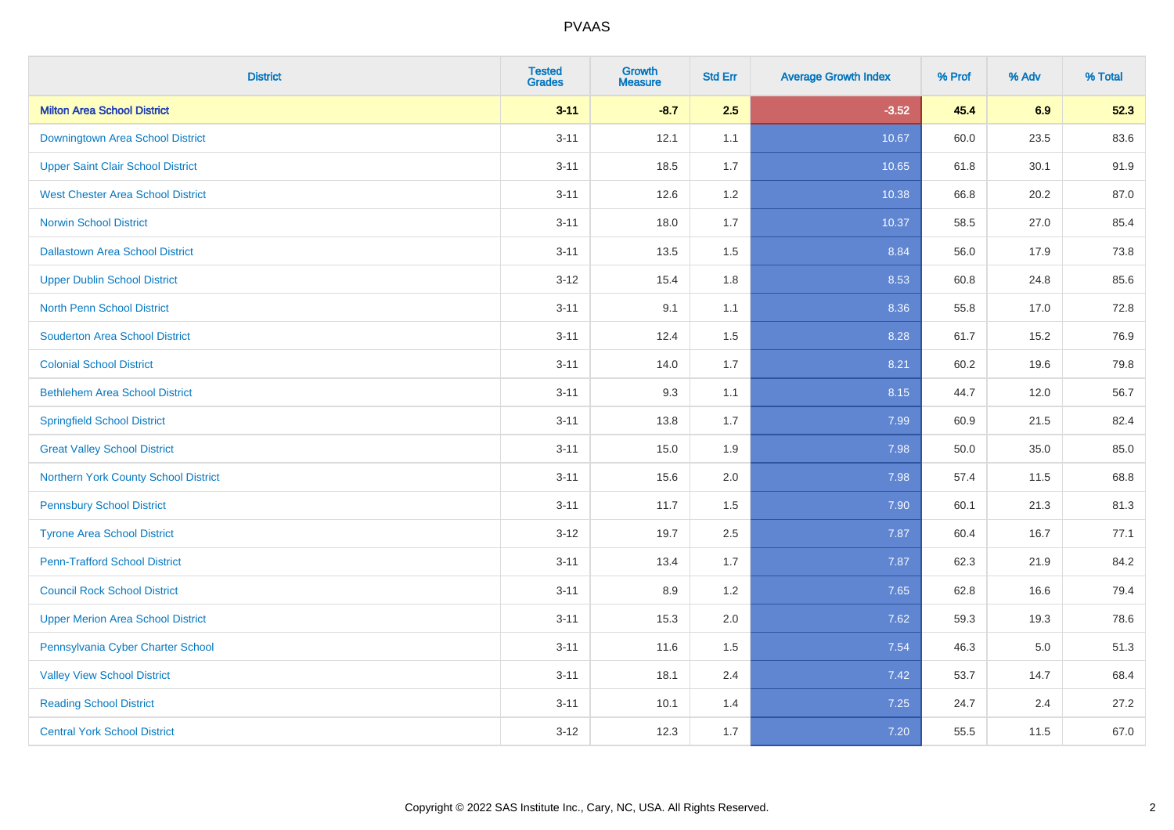| <b>District</b>                          | <b>Tested</b><br><b>Grades</b> | <b>Growth</b><br><b>Measure</b> | <b>Std Err</b> | <b>Average Growth Index</b> | % Prof | % Adv   | % Total |
|------------------------------------------|--------------------------------|---------------------------------|----------------|-----------------------------|--------|---------|---------|
| <b>Milton Area School District</b>       | $3 - 11$                       | $-8.7$                          | 2.5            | $-3.52$                     | 45.4   | 6.9     | 52.3    |
| Downingtown Area School District         | $3 - 11$                       | 12.1                            | 1.1            | 10.67                       | 60.0   | 23.5    | 83.6    |
| <b>Upper Saint Clair School District</b> | $3 - 11$                       | 18.5                            | 1.7            | 10.65                       | 61.8   | 30.1    | 91.9    |
| <b>West Chester Area School District</b> | $3 - 11$                       | 12.6                            | 1.2            | 10.38                       | 66.8   | 20.2    | 87.0    |
| <b>Norwin School District</b>            | $3 - 11$                       | 18.0                            | 1.7            | 10.37                       | 58.5   | 27.0    | 85.4    |
| <b>Dallastown Area School District</b>   | $3 - 11$                       | 13.5                            | 1.5            | 8.84                        | 56.0   | 17.9    | 73.8    |
| <b>Upper Dublin School District</b>      | $3 - 12$                       | 15.4                            | 1.8            | 8.53                        | 60.8   | 24.8    | 85.6    |
| <b>North Penn School District</b>        | $3 - 11$                       | 9.1                             | 1.1            | 8.36                        | 55.8   | 17.0    | 72.8    |
| <b>Souderton Area School District</b>    | $3 - 11$                       | 12.4                            | 1.5            | 8.28                        | 61.7   | 15.2    | 76.9    |
| <b>Colonial School District</b>          | $3 - 11$                       | 14.0                            | 1.7            | 8.21                        | 60.2   | 19.6    | 79.8    |
| <b>Bethlehem Area School District</b>    | $3 - 11$                       | 9.3                             | 1.1            | 8.15                        | 44.7   | 12.0    | 56.7    |
| <b>Springfield School District</b>       | $3 - 11$                       | 13.8                            | 1.7            | 7.99                        | 60.9   | 21.5    | 82.4    |
| <b>Great Valley School District</b>      | $3 - 11$                       | 15.0                            | 1.9            | 7.98                        | 50.0   | 35.0    | 85.0    |
| Northern York County School District     | $3 - 11$                       | 15.6                            | 2.0            | 7.98                        | 57.4   | 11.5    | 68.8    |
| <b>Pennsbury School District</b>         | $3 - 11$                       | 11.7                            | 1.5            | 7.90                        | 60.1   | 21.3    | 81.3    |
| <b>Tyrone Area School District</b>       | $3 - 12$                       | 19.7                            | 2.5            | 7.87                        | 60.4   | 16.7    | 77.1    |
| <b>Penn-Trafford School District</b>     | $3 - 11$                       | 13.4                            | 1.7            | 7.87                        | 62.3   | 21.9    | 84.2    |
| <b>Council Rock School District</b>      | $3 - 11$                       | 8.9                             | 1.2            | 7.65                        | 62.8   | 16.6    | 79.4    |
| <b>Upper Merion Area School District</b> | $3 - 11$                       | 15.3                            | 2.0            | 7.62                        | 59.3   | 19.3    | 78.6    |
| Pennsylvania Cyber Charter School        | $3 - 11$                       | 11.6                            | 1.5            | 7.54                        | 46.3   | $5.0\,$ | 51.3    |
| <b>Valley View School District</b>       | $3 - 11$                       | 18.1                            | 2.4            | 7.42                        | 53.7   | 14.7    | 68.4    |
| <b>Reading School District</b>           | $3 - 11$                       | 10.1                            | 1.4            | 7.25                        | 24.7   | 2.4     | 27.2    |
| <b>Central York School District</b>      | $3 - 12$                       | 12.3                            | 1.7            | 7.20                        | 55.5   | 11.5    | 67.0    |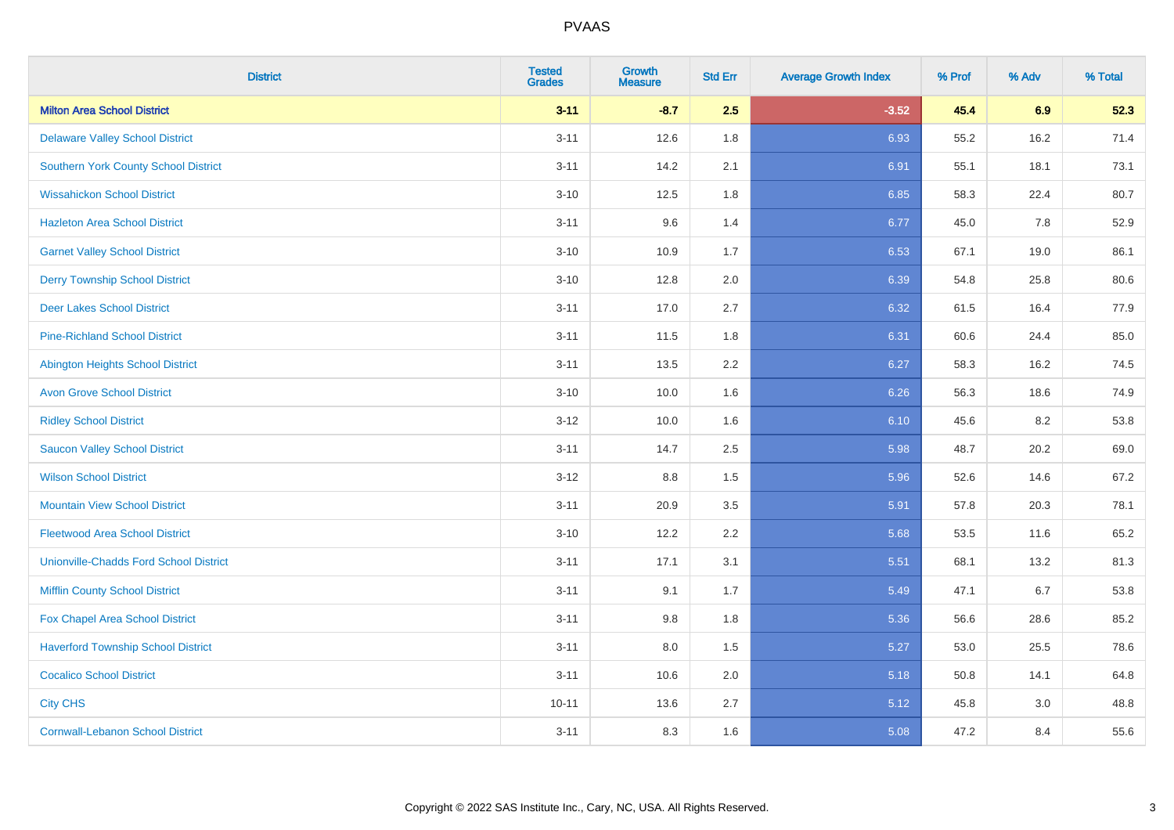| <b>District</b>                               | <b>Tested</b><br><b>Grades</b> | <b>Growth</b><br><b>Measure</b> | <b>Std Err</b> | <b>Average Growth Index</b> | % Prof | % Adv | % Total |
|-----------------------------------------------|--------------------------------|---------------------------------|----------------|-----------------------------|--------|-------|---------|
| <b>Milton Area School District</b>            | $3 - 11$                       | $-8.7$                          | 2.5            | $-3.52$                     | 45.4   | 6.9   | 52.3    |
| <b>Delaware Valley School District</b>        | $3 - 11$                       | 12.6                            | 1.8            | 6.93                        | 55.2   | 16.2  | 71.4    |
| <b>Southern York County School District</b>   | $3 - 11$                       | 14.2                            | 2.1            | 6.91                        | 55.1   | 18.1  | 73.1    |
| <b>Wissahickon School District</b>            | $3 - 10$                       | 12.5                            | 1.8            | 6.85                        | 58.3   | 22.4  | 80.7    |
| <b>Hazleton Area School District</b>          | $3 - 11$                       | 9.6                             | 1.4            | 6.77                        | 45.0   | 7.8   | 52.9    |
| <b>Garnet Valley School District</b>          | $3 - 10$                       | 10.9                            | 1.7            | 6.53                        | 67.1   | 19.0  | 86.1    |
| <b>Derry Township School District</b>         | $3 - 10$                       | 12.8                            | 2.0            | 6.39                        | 54.8   | 25.8  | 80.6    |
| <b>Deer Lakes School District</b>             | $3 - 11$                       | 17.0                            | 2.7            | 6.32                        | 61.5   | 16.4  | 77.9    |
| <b>Pine-Richland School District</b>          | $3 - 11$                       | 11.5                            | 1.8            | 6.31                        | 60.6   | 24.4  | 85.0    |
| <b>Abington Heights School District</b>       | $3 - 11$                       | 13.5                            | 2.2            | 6.27                        | 58.3   | 16.2  | 74.5    |
| <b>Avon Grove School District</b>             | $3 - 10$                       | 10.0                            | 1.6            | 6.26                        | 56.3   | 18.6  | 74.9    |
| <b>Ridley School District</b>                 | $3 - 12$                       | 10.0                            | 1.6            | 6.10                        | 45.6   | 8.2   | 53.8    |
| <b>Saucon Valley School District</b>          | $3 - 11$                       | 14.7                            | 2.5            | 5.98                        | 48.7   | 20.2  | 69.0    |
| <b>Wilson School District</b>                 | $3 - 12$                       | 8.8                             | 1.5            | 5.96                        | 52.6   | 14.6  | 67.2    |
| <b>Mountain View School District</b>          | $3 - 11$                       | 20.9                            | 3.5            | 5.91                        | 57.8   | 20.3  | 78.1    |
| <b>Fleetwood Area School District</b>         | $3 - 10$                       | 12.2                            | 2.2            | 5.68                        | 53.5   | 11.6  | 65.2    |
| <b>Unionville-Chadds Ford School District</b> | $3 - 11$                       | 17.1                            | 3.1            | 5.51                        | 68.1   | 13.2  | 81.3    |
| <b>Mifflin County School District</b>         | $3 - 11$                       | 9.1                             | 1.7            | 5.49                        | 47.1   | 6.7   | 53.8    |
| Fox Chapel Area School District               | $3 - 11$                       | 9.8                             | 1.8            | 5.36                        | 56.6   | 28.6  | 85.2    |
| <b>Haverford Township School District</b>     | $3 - 11$                       | 8.0                             | 1.5            | 5.27                        | 53.0   | 25.5  | 78.6    |
| <b>Cocalico School District</b>               | $3 - 11$                       | 10.6                            | 2.0            | 5.18                        | 50.8   | 14.1  | 64.8    |
| <b>City CHS</b>                               | $10 - 11$                      | 13.6                            | 2.7            | 5.12                        | 45.8   | 3.0   | 48.8    |
| <b>Cornwall-Lebanon School District</b>       | $3 - 11$                       | 8.3                             | 1.6            | 5.08                        | 47.2   | 8.4   | 55.6    |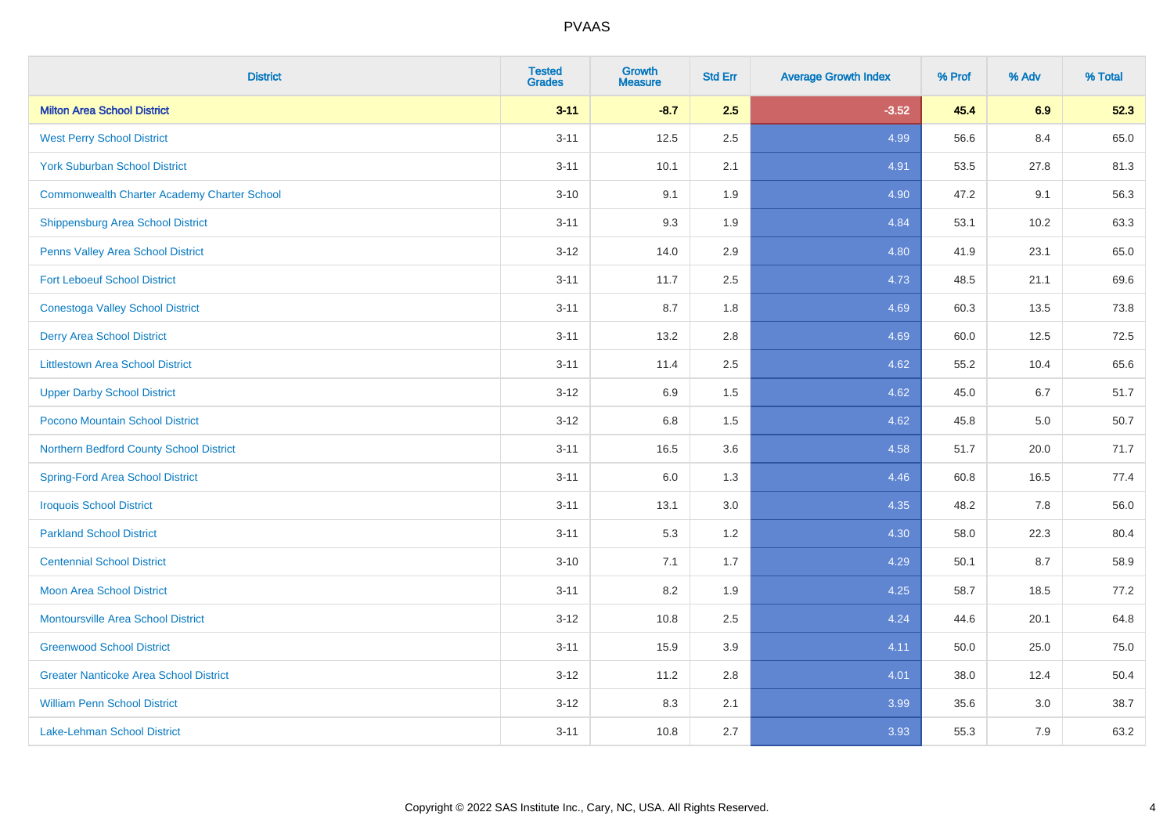| <b>District</b>                                    | <b>Tested</b><br><b>Grades</b> | <b>Growth</b><br><b>Measure</b> | <b>Std Err</b> | <b>Average Growth Index</b> | % Prof | % Adv | % Total |
|----------------------------------------------------|--------------------------------|---------------------------------|----------------|-----------------------------|--------|-------|---------|
| <b>Milton Area School District</b>                 | $3 - 11$                       | $-8.7$                          | 2.5            | $-3.52$                     | 45.4   | 6.9   | 52.3    |
| <b>West Perry School District</b>                  | $3 - 11$                       | 12.5                            | 2.5            | 4.99                        | 56.6   | 8.4   | 65.0    |
| <b>York Suburban School District</b>               | $3 - 11$                       | 10.1                            | 2.1            | 4.91                        | 53.5   | 27.8  | 81.3    |
| <b>Commonwealth Charter Academy Charter School</b> | $3 - 10$                       | 9.1                             | 1.9            | 4.90                        | 47.2   | 9.1   | 56.3    |
| Shippensburg Area School District                  | $3 - 11$                       | 9.3                             | 1.9            | 4.84                        | 53.1   | 10.2  | 63.3    |
| Penns Valley Area School District                  | $3 - 12$                       | 14.0                            | 2.9            | 4.80                        | 41.9   | 23.1  | 65.0    |
| <b>Fort Leboeuf School District</b>                | $3 - 11$                       | 11.7                            | 2.5            | 4.73                        | 48.5   | 21.1  | 69.6    |
| <b>Conestoga Valley School District</b>            | $3 - 11$                       | 8.7                             | 1.8            | 4.69                        | 60.3   | 13.5  | 73.8    |
| <b>Derry Area School District</b>                  | $3 - 11$                       | 13.2                            | 2.8            | 4.69                        | 60.0   | 12.5  | 72.5    |
| <b>Littlestown Area School District</b>            | $3 - 11$                       | 11.4                            | 2.5            | 4.62                        | 55.2   | 10.4  | 65.6    |
| <b>Upper Darby School District</b>                 | $3 - 12$                       | 6.9                             | 1.5            | 4.62                        | 45.0   | 6.7   | 51.7    |
| Pocono Mountain School District                    | $3 - 12$                       | $6.8\,$                         | 1.5            | 4.62                        | 45.8   | 5.0   | 50.7    |
| Northern Bedford County School District            | $3 - 11$                       | 16.5                            | 3.6            | 4.58                        | 51.7   | 20.0  | 71.7    |
| <b>Spring-Ford Area School District</b>            | $3 - 11$                       | 6.0                             | 1.3            | 4.46                        | 60.8   | 16.5  | 77.4    |
| <b>Iroquois School District</b>                    | $3 - 11$                       | 13.1                            | 3.0            | 4.35                        | 48.2   | 7.8   | 56.0    |
| <b>Parkland School District</b>                    | $3 - 11$                       | 5.3                             | 1.2            | 4.30                        | 58.0   | 22.3  | 80.4    |
| <b>Centennial School District</b>                  | $3 - 10$                       | 7.1                             | 1.7            | 4.29                        | 50.1   | 8.7   | 58.9    |
| <b>Moon Area School District</b>                   | $3 - 11$                       | 8.2                             | 1.9            | 4.25                        | 58.7   | 18.5  | 77.2    |
| <b>Montoursville Area School District</b>          | $3 - 12$                       | 10.8                            | 2.5            | 4.24                        | 44.6   | 20.1  | 64.8    |
| <b>Greenwood School District</b>                   | $3 - 11$                       | 15.9                            | 3.9            | 4.11                        | 50.0   | 25.0  | 75.0    |
| <b>Greater Nanticoke Area School District</b>      | $3-12$                         | 11.2                            | 2.8            | 4.01                        | 38.0   | 12.4  | 50.4    |
| <b>William Penn School District</b>                | $3 - 12$                       | 8.3                             | 2.1            | 3.99                        | 35.6   | 3.0   | 38.7    |
| Lake-Lehman School District                        | $3 - 11$                       | 10.8                            | 2.7            | 3.93                        | 55.3   | 7.9   | 63.2    |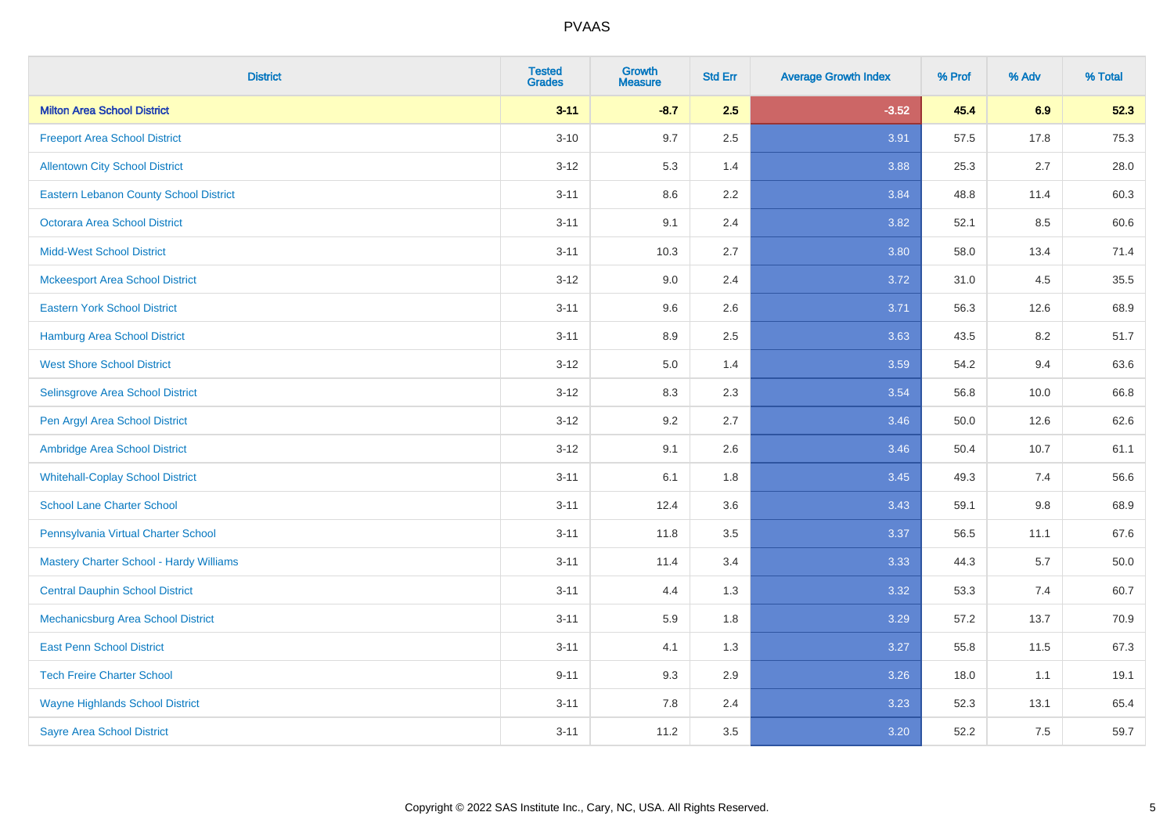| <b>District</b>                               | <b>Tested</b><br><b>Grades</b> | <b>Growth</b><br><b>Measure</b> | <b>Std Err</b> | <b>Average Growth Index</b> | % Prof | % Adv   | % Total  |
|-----------------------------------------------|--------------------------------|---------------------------------|----------------|-----------------------------|--------|---------|----------|
| <b>Milton Area School District</b>            | $3 - 11$                       | $-8.7$                          | 2.5            | $-3.52$                     | 45.4   | 6.9     | 52.3     |
| <b>Freeport Area School District</b>          | $3 - 10$                       | 9.7                             | 2.5            | 3.91                        | 57.5   | 17.8    | 75.3     |
| <b>Allentown City School District</b>         | $3 - 12$                       | 5.3                             | 1.4            | 3.88                        | 25.3   | 2.7     | 28.0     |
| <b>Eastern Lebanon County School District</b> | $3 - 11$                       | 8.6                             | 2.2            | 3.84                        | 48.8   | 11.4    | 60.3     |
| <b>Octorara Area School District</b>          | $3 - 11$                       | 9.1                             | 2.4            | 3.82                        | 52.1   | 8.5     | 60.6     |
| <b>Midd-West School District</b>              | $3 - 11$                       | 10.3                            | 2.7            | 3.80                        | 58.0   | 13.4    | 71.4     |
| <b>Mckeesport Area School District</b>        | $3 - 12$                       | 9.0                             | 2.4            | 3.72                        | 31.0   | 4.5     | 35.5     |
| <b>Eastern York School District</b>           | $3 - 11$                       | 9.6                             | 2.6            | 3.71                        | 56.3   | 12.6    | 68.9     |
| <b>Hamburg Area School District</b>           | $3 - 11$                       | 8.9                             | 2.5            | 3.63                        | 43.5   | 8.2     | 51.7     |
| <b>West Shore School District</b>             | $3 - 12$                       | 5.0                             | 1.4            | 3.59                        | 54.2   | 9.4     | 63.6     |
| Selinsgrove Area School District              | $3 - 12$                       | 8.3                             | 2.3            | 3.54                        | 56.8   | 10.0    | 66.8     |
| Pen Argyl Area School District                | $3 - 12$                       | 9.2                             | 2.7            | 3.46                        | 50.0   | 12.6    | 62.6     |
| Ambridge Area School District                 | $3 - 12$                       | 9.1                             | 2.6            | 3.46                        | 50.4   | 10.7    | 61.1     |
| <b>Whitehall-Coplay School District</b>       | $3 - 11$                       | 6.1                             | 1.8            | 3.45                        | 49.3   | 7.4     | 56.6     |
| <b>School Lane Charter School</b>             | $3 - 11$                       | 12.4                            | 3.6            | 3.43                        | 59.1   | $9.8\,$ | 68.9     |
| Pennsylvania Virtual Charter School           | $3 - 11$                       | 11.8                            | $3.5\,$        | 3.37                        | 56.5   | 11.1    | 67.6     |
| Mastery Charter School - Hardy Williams       | $3 - 11$                       | 11.4                            | 3.4            | 3.33                        | 44.3   | 5.7     | $50.0\,$ |
| <b>Central Dauphin School District</b>        | $3 - 11$                       | 4.4                             | 1.3            | 3.32                        | 53.3   | 7.4     | 60.7     |
| Mechanicsburg Area School District            | $3 - 11$                       | 5.9                             | 1.8            | 3.29                        | 57.2   | 13.7    | 70.9     |
| <b>East Penn School District</b>              | $3 - 11$                       | 4.1                             | 1.3            | 3.27                        | 55.8   | 11.5    | 67.3     |
| <b>Tech Freire Charter School</b>             | $9 - 11$                       | 9.3                             | 2.9            | 3.26                        | 18.0   | 1.1     | 19.1     |
| <b>Wayne Highlands School District</b>        | $3 - 11$                       | 7.8                             | 2.4            | 3.23                        | 52.3   | 13.1    | 65.4     |
| <b>Sayre Area School District</b>             | $3 - 11$                       | 11.2                            | 3.5            | 3.20                        | 52.2   | 7.5     | 59.7     |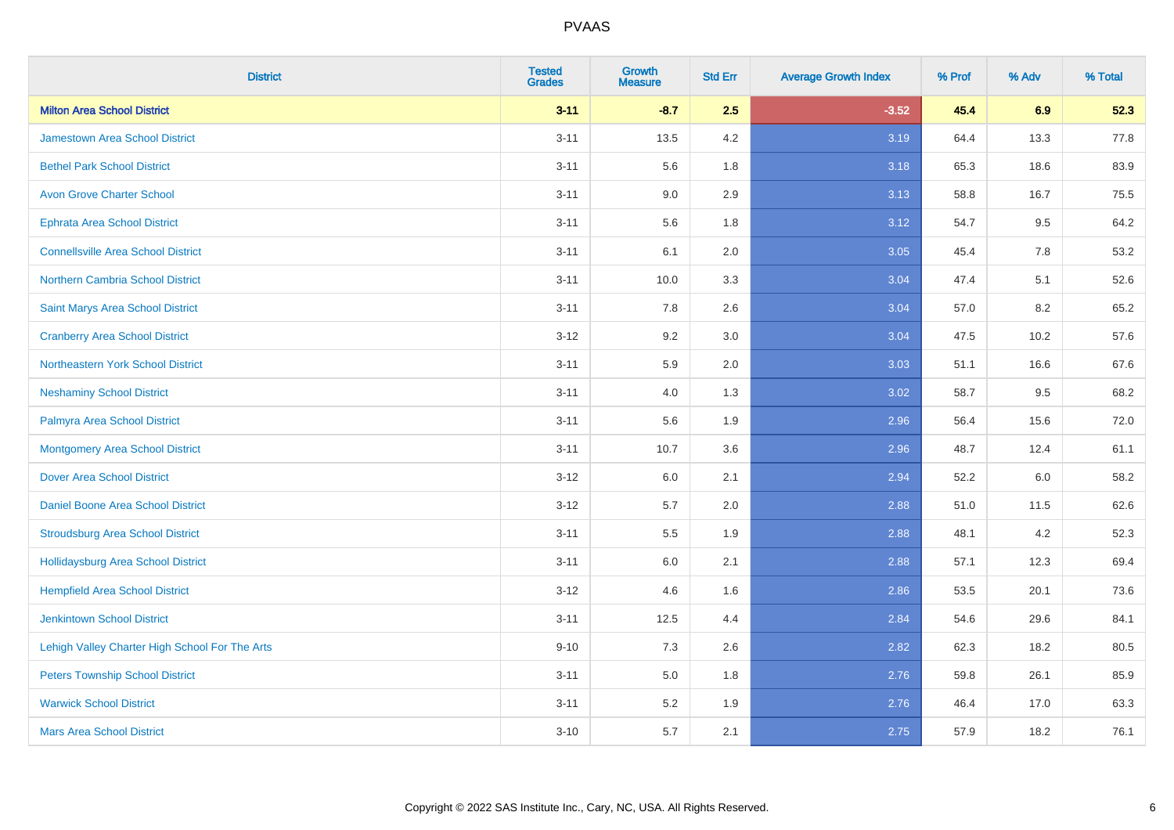| <b>District</b>                                | <b>Tested</b><br><b>Grades</b> | <b>Growth</b><br><b>Measure</b> | <b>Std Err</b> | <b>Average Growth Index</b> | % Prof | % Adv | % Total |
|------------------------------------------------|--------------------------------|---------------------------------|----------------|-----------------------------|--------|-------|---------|
| <b>Milton Area School District</b>             | $3 - 11$                       | $-8.7$                          | 2.5            | $-3.52$                     | 45.4   | 6.9   | 52.3    |
| <b>Jamestown Area School District</b>          | $3 - 11$                       | 13.5                            | 4.2            | 3.19                        | 64.4   | 13.3  | 77.8    |
| <b>Bethel Park School District</b>             | $3 - 11$                       | 5.6                             | 1.8            | 3.18                        | 65.3   | 18.6  | 83.9    |
| <b>Avon Grove Charter School</b>               | $3 - 11$                       | 9.0                             | 2.9            | 3.13                        | 58.8   | 16.7  | 75.5    |
| <b>Ephrata Area School District</b>            | $3 - 11$                       | 5.6                             | 1.8            | 3.12                        | 54.7   | 9.5   | 64.2    |
| <b>Connellsville Area School District</b>      | $3 - 11$                       | 6.1                             | 2.0            | 3.05                        | 45.4   | 7.8   | 53.2    |
| Northern Cambria School District               | $3 - 11$                       | 10.0                            | 3.3            | 3.04                        | 47.4   | 5.1   | 52.6    |
| <b>Saint Marys Area School District</b>        | $3 - 11$                       | 7.8                             | 2.6            | 3.04                        | 57.0   | 8.2   | 65.2    |
| <b>Cranberry Area School District</b>          | $3 - 12$                       | 9.2                             | 3.0            | 3.04                        | 47.5   | 10.2  | 57.6    |
| Northeastern York School District              | $3 - 11$                       | 5.9                             | 2.0            | 3.03                        | 51.1   | 16.6  | 67.6    |
| <b>Neshaminy School District</b>               | $3 - 11$                       | 4.0                             | 1.3            | 3.02                        | 58.7   | 9.5   | 68.2    |
| Palmyra Area School District                   | $3 - 11$                       | 5.6                             | 1.9            | 2.96                        | 56.4   | 15.6  | 72.0    |
| <b>Montgomery Area School District</b>         | $3 - 11$                       | 10.7                            | 3.6            | 2.96                        | 48.7   | 12.4  | 61.1    |
| <b>Dover Area School District</b>              | $3 - 12$                       | 6.0                             | 2.1            | 2.94                        | 52.2   | 6.0   | 58.2    |
| <b>Daniel Boone Area School District</b>       | $3 - 12$                       | 5.7                             | 2.0            | 2.88                        | 51.0   | 11.5  | 62.6    |
| <b>Stroudsburg Area School District</b>        | $3 - 11$                       | 5.5                             | 1.9            | 2.88                        | 48.1   | 4.2   | 52.3    |
| <b>Hollidaysburg Area School District</b>      | $3 - 11$                       | 6.0                             | 2.1            | 2.88                        | 57.1   | 12.3  | 69.4    |
| <b>Hempfield Area School District</b>          | $3 - 12$                       | 4.6                             | 1.6            | 2.86                        | 53.5   | 20.1  | 73.6    |
| <b>Jenkintown School District</b>              | $3 - 11$                       | 12.5                            | 4.4            | 2.84                        | 54.6   | 29.6  | 84.1    |
| Lehigh Valley Charter High School For The Arts | $9 - 10$                       | 7.3                             | 2.6            | 2.82                        | 62.3   | 18.2  | 80.5    |
| <b>Peters Township School District</b>         | $3 - 11$                       | 5.0                             | 1.8            | 2.76                        | 59.8   | 26.1  | 85.9    |
| <b>Warwick School District</b>                 | $3 - 11$                       | 5.2                             | 1.9            | 2.76                        | 46.4   | 17.0  | 63.3    |
| <b>Mars Area School District</b>               | $3 - 10$                       | 5.7                             | 2.1            | 2.75                        | 57.9   | 18.2  | 76.1    |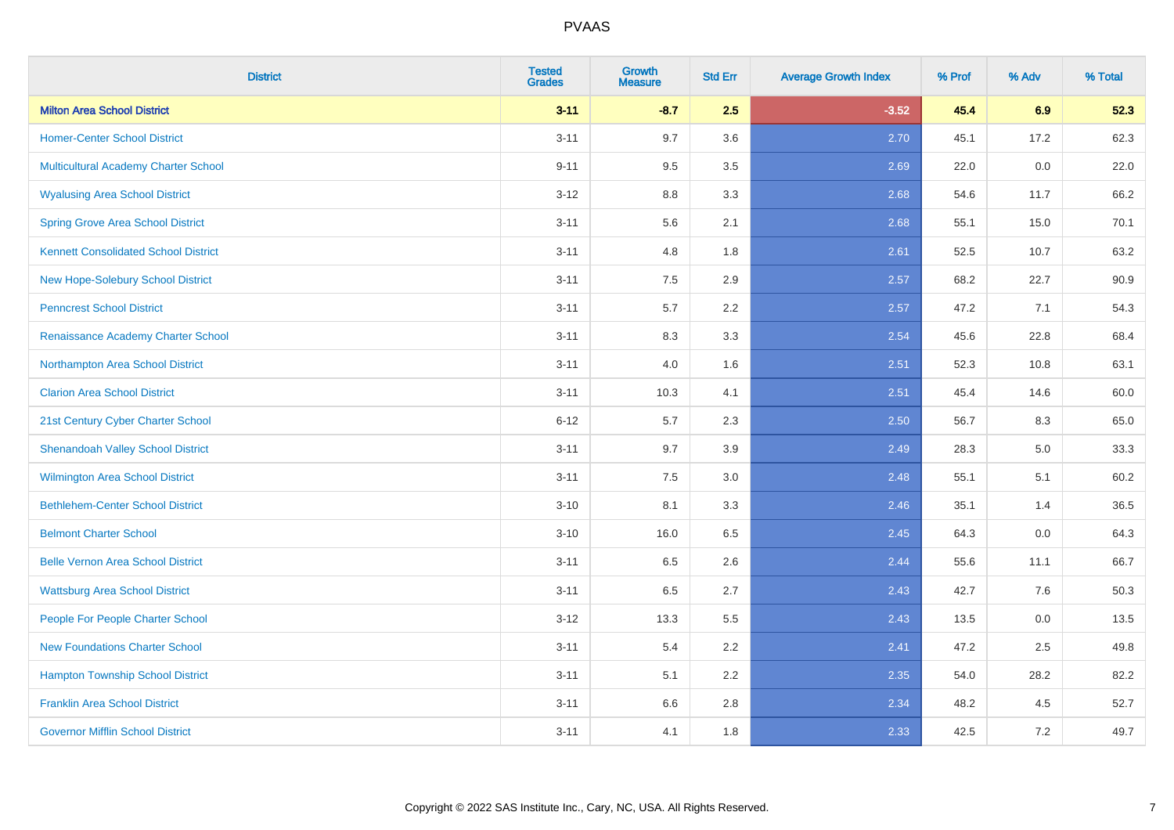| <b>District</b>                             | <b>Tested</b><br><b>Grades</b> | <b>Growth</b><br><b>Measure</b> | <b>Std Err</b> | <b>Average Growth Index</b> | % Prof | % Adv | % Total |
|---------------------------------------------|--------------------------------|---------------------------------|----------------|-----------------------------|--------|-------|---------|
| <b>Milton Area School District</b>          | $3 - 11$                       | $-8.7$                          | 2.5            | $-3.52$                     | 45.4   | 6.9   | 52.3    |
| <b>Homer-Center School District</b>         | $3 - 11$                       | 9.7                             | 3.6            | 2.70                        | 45.1   | 17.2  | 62.3    |
| Multicultural Academy Charter School        | $9 - 11$                       | 9.5                             | 3.5            | 2.69                        | 22.0   | 0.0   | 22.0    |
| <b>Wyalusing Area School District</b>       | $3-12$                         | 8.8                             | 3.3            | 2.68                        | 54.6   | 11.7  | 66.2    |
| <b>Spring Grove Area School District</b>    | $3 - 11$                       | 5.6                             | 2.1            | 2.68                        | 55.1   | 15.0  | 70.1    |
| <b>Kennett Consolidated School District</b> | $3 - 11$                       | 4.8                             | 1.8            | 2.61                        | 52.5   | 10.7  | 63.2    |
| New Hope-Solebury School District           | $3 - 11$                       | 7.5                             | 2.9            | 2.57                        | 68.2   | 22.7  | 90.9    |
| <b>Penncrest School District</b>            | $3 - 11$                       | 5.7                             | 2.2            | 2.57                        | 47.2   | 7.1   | 54.3    |
| Renaissance Academy Charter School          | $3 - 11$                       | 8.3                             | 3.3            | 2.54                        | 45.6   | 22.8  | 68.4    |
| Northampton Area School District            | $3 - 11$                       | 4.0                             | 1.6            | 2.51                        | 52.3   | 10.8  | 63.1    |
| <b>Clarion Area School District</b>         | $3 - 11$                       | 10.3                            | 4.1            | 2.51                        | 45.4   | 14.6  | 60.0    |
| 21st Century Cyber Charter School           | $6 - 12$                       | 5.7                             | 2.3            | 2.50                        | 56.7   | 8.3   | 65.0    |
| <b>Shenandoah Valley School District</b>    | $3 - 11$                       | 9.7                             | 3.9            | 2.49                        | 28.3   | 5.0   | 33.3    |
| <b>Wilmington Area School District</b>      | $3 - 11$                       | $7.5\,$                         | 3.0            | 2.48                        | 55.1   | 5.1   | 60.2    |
| <b>Bethlehem-Center School District</b>     | $3 - 10$                       | 8.1                             | 3.3            | 2.46                        | 35.1   | 1.4   | 36.5    |
| <b>Belmont Charter School</b>               | $3 - 10$                       | 16.0                            | 6.5            | 2.45                        | 64.3   | 0.0   | 64.3    |
| <b>Belle Vernon Area School District</b>    | $3 - 11$                       | 6.5                             | 2.6            | 2.44                        | 55.6   | 11.1  | 66.7    |
| <b>Wattsburg Area School District</b>       | $3 - 11$                       | 6.5                             | 2.7            | 2.43                        | 42.7   | 7.6   | 50.3    |
| People For People Charter School            | $3 - 12$                       | 13.3                            | 5.5            | 2.43                        | 13.5   | 0.0   | 13.5    |
| <b>New Foundations Charter School</b>       | $3 - 11$                       | 5.4                             | 2.2            | 2.41                        | 47.2   | 2.5   | 49.8    |
| <b>Hampton Township School District</b>     | $3 - 11$                       | 5.1                             | 2.2            | 2.35                        | 54.0   | 28.2  | 82.2    |
| <b>Franklin Area School District</b>        | $3 - 11$                       | 6.6                             | 2.8            | 2.34                        | 48.2   | 4.5   | 52.7    |
| <b>Governor Mifflin School District</b>     | $3 - 11$                       | 4.1                             | 1.8            | 2.33                        | 42.5   | 7.2   | 49.7    |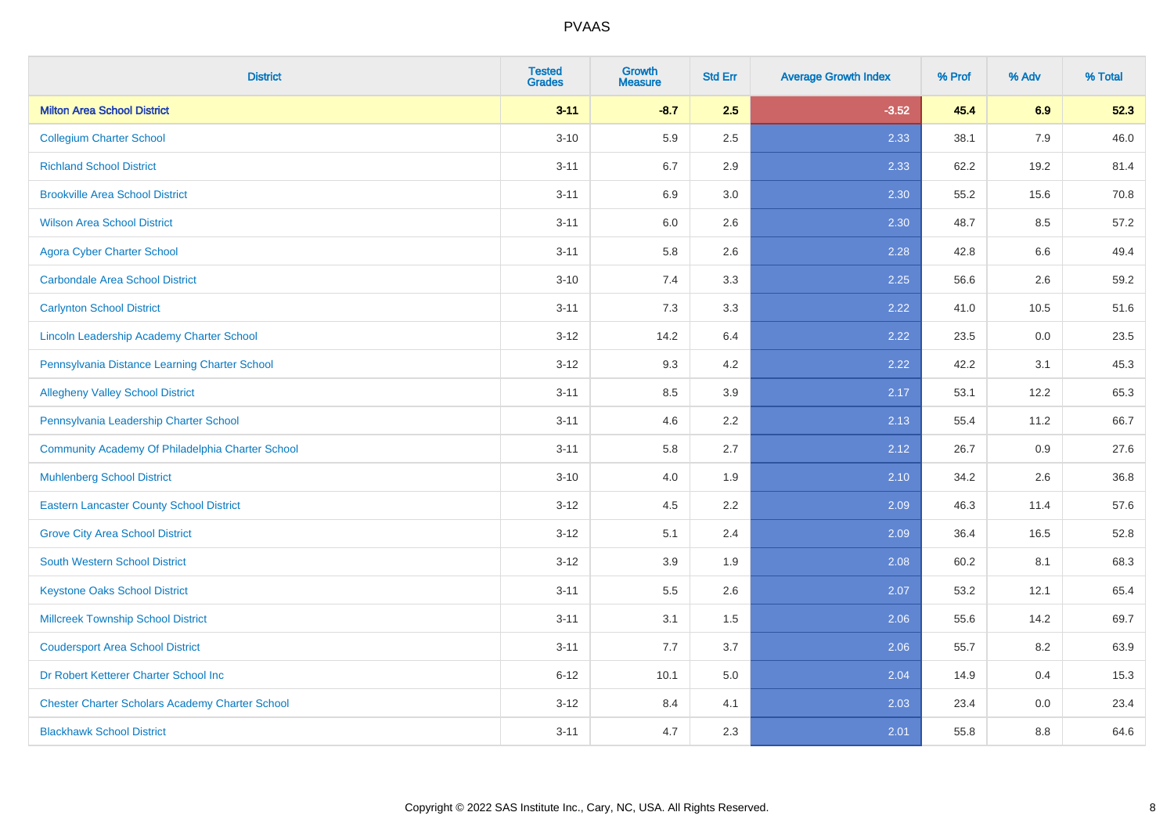| <b>District</b>                                        | <b>Tested</b><br><b>Grades</b> | <b>Growth</b><br><b>Measure</b> | <b>Std Err</b> | <b>Average Growth Index</b> | % Prof | % Adv | % Total |
|--------------------------------------------------------|--------------------------------|---------------------------------|----------------|-----------------------------|--------|-------|---------|
| <b>Milton Area School District</b>                     | $3 - 11$                       | $-8.7$                          | 2.5            | $-3.52$                     | 45.4   | 6.9   | 52.3    |
| <b>Collegium Charter School</b>                        | $3 - 10$                       | 5.9                             | 2.5            | 2.33                        | 38.1   | 7.9   | 46.0    |
| <b>Richland School District</b>                        | $3 - 11$                       | 6.7                             | 2.9            | 2.33                        | 62.2   | 19.2  | 81.4    |
| <b>Brookville Area School District</b>                 | $3 - 11$                       | 6.9                             | 3.0            | 2.30                        | 55.2   | 15.6  | 70.8    |
| <b>Wilson Area School District</b>                     | $3 - 11$                       | 6.0                             | 2.6            | 2.30                        | 48.7   | 8.5   | 57.2    |
| <b>Agora Cyber Charter School</b>                      | $3 - 11$                       | 5.8                             | 2.6            | 2.28                        | 42.8   | 6.6   | 49.4    |
| <b>Carbondale Area School District</b>                 | $3 - 10$                       | 7.4                             | 3.3            | 2.25                        | 56.6   | 2.6   | 59.2    |
| <b>Carlynton School District</b>                       | $3 - 11$                       | 7.3                             | 3.3            | 2.22                        | 41.0   | 10.5  | 51.6    |
| Lincoln Leadership Academy Charter School              | $3 - 12$                       | 14.2                            | 6.4            | 2.22                        | 23.5   | 0.0   | 23.5    |
| Pennsylvania Distance Learning Charter School          | $3 - 12$                       | 9.3                             | 4.2            | 2.22                        | 42.2   | 3.1   | 45.3    |
| <b>Allegheny Valley School District</b>                | $3 - 11$                       | 8.5                             | 3.9            | 2.17                        | 53.1   | 12.2  | 65.3    |
| Pennsylvania Leadership Charter School                 | $3 - 11$                       | 4.6                             | 2.2            | 2.13                        | 55.4   | 11.2  | 66.7    |
| Community Academy Of Philadelphia Charter School       | $3 - 11$                       | 5.8                             | 2.7            | 2.12                        | 26.7   | 0.9   | 27.6    |
| <b>Muhlenberg School District</b>                      | $3 - 10$                       | 4.0                             | 1.9            | 2.10                        | 34.2   | 2.6   | 36.8    |
| <b>Eastern Lancaster County School District</b>        | $3 - 12$                       | 4.5                             | 2.2            | 2.09                        | 46.3   | 11.4  | 57.6    |
| <b>Grove City Area School District</b>                 | $3 - 12$                       | 5.1                             | 2.4            | 2.09                        | 36.4   | 16.5  | 52.8    |
| <b>South Western School District</b>                   | $3 - 12$                       | 3.9                             | 1.9            | 2.08                        | 60.2   | 8.1   | 68.3    |
| <b>Keystone Oaks School District</b>                   | $3 - 11$                       | 5.5                             | 2.6            | 2.07                        | 53.2   | 12.1  | 65.4    |
| <b>Millcreek Township School District</b>              | $3 - 11$                       | 3.1                             | 1.5            | 2.06                        | 55.6   | 14.2  | 69.7    |
| <b>Coudersport Area School District</b>                | $3 - 11$                       | 7.7                             | 3.7            | 2.06                        | 55.7   | 8.2   | 63.9    |
| Dr Robert Ketterer Charter School Inc                  | $6 - 12$                       | 10.1                            | 5.0            | 2.04                        | 14.9   | 0.4   | 15.3    |
| <b>Chester Charter Scholars Academy Charter School</b> | $3 - 12$                       | 8.4                             | 4.1            | 2.03                        | 23.4   | 0.0   | 23.4    |
| <b>Blackhawk School District</b>                       | $3 - 11$                       | 4.7                             | 2.3            | 2.01                        | 55.8   | 8.8   | 64.6    |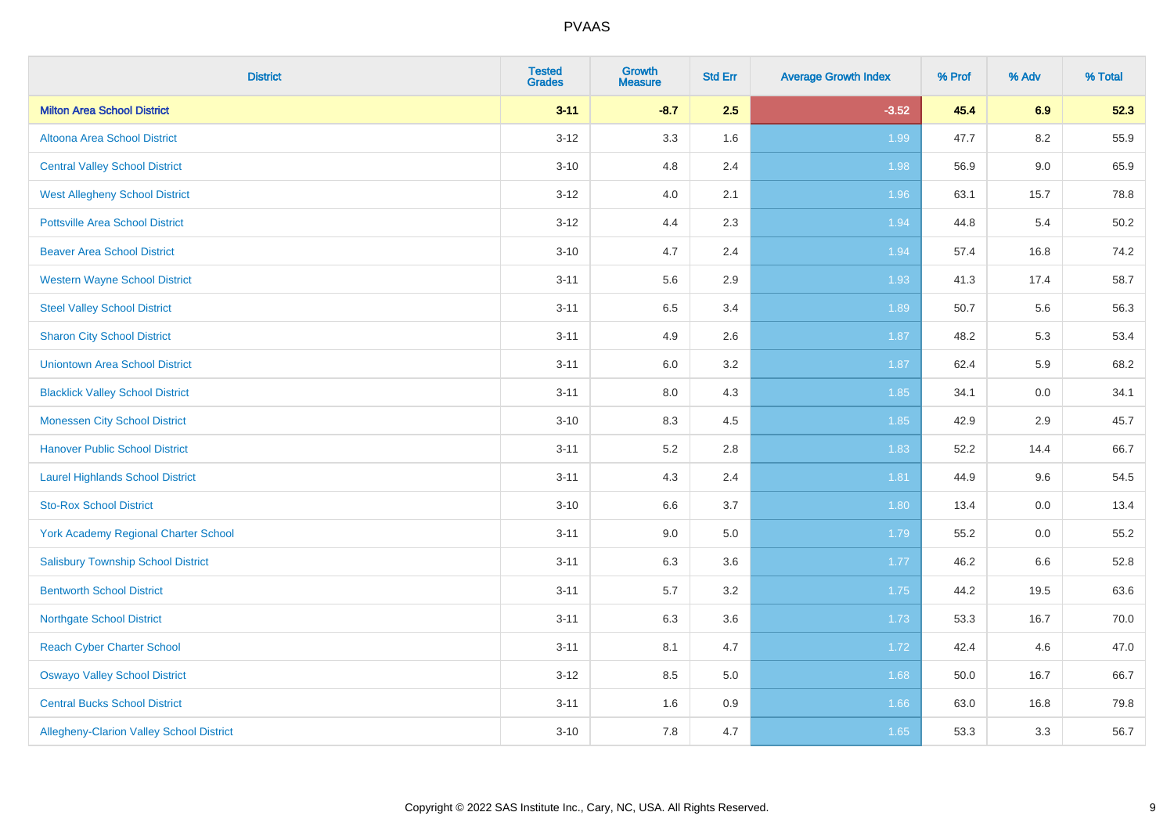| <b>District</b>                                 | <b>Tested</b><br><b>Grades</b> | <b>Growth</b><br><b>Measure</b> | <b>Std Err</b> | <b>Average Growth Index</b> | % Prof | % Adv   | % Total |
|-------------------------------------------------|--------------------------------|---------------------------------|----------------|-----------------------------|--------|---------|---------|
| <b>Milton Area School District</b>              | $3 - 11$                       | $-8.7$                          | 2.5            | $-3.52$                     | 45.4   | 6.9     | 52.3    |
| Altoona Area School District                    | $3 - 12$                       | 3.3                             | 1.6            | 1.99                        | 47.7   | 8.2     | 55.9    |
| <b>Central Valley School District</b>           | $3 - 10$                       | 4.8                             | 2.4            | 1.98                        | 56.9   | $9.0\,$ | 65.9    |
| <b>West Allegheny School District</b>           | $3 - 12$                       | 4.0                             | 2.1            | 1.96                        | 63.1   | 15.7    | 78.8    |
| <b>Pottsville Area School District</b>          | $3 - 12$                       | 4.4                             | 2.3            | 1.94                        | 44.8   | 5.4     | 50.2    |
| <b>Beaver Area School District</b>              | $3 - 10$                       | 4.7                             | 2.4            | 1.94                        | 57.4   | 16.8    | 74.2    |
| <b>Western Wayne School District</b>            | $3 - 11$                       | 5.6                             | 2.9            | 1.93                        | 41.3   | 17.4    | 58.7    |
| <b>Steel Valley School District</b>             | $3 - 11$                       | 6.5                             | 3.4            | 1.89                        | 50.7   | 5.6     | 56.3    |
| <b>Sharon City School District</b>              | $3 - 11$                       | 4.9                             | 2.6            | 1.87                        | 48.2   | 5.3     | 53.4    |
| <b>Uniontown Area School District</b>           | $3 - 11$                       | 6.0                             | 3.2            | 1.87                        | 62.4   | 5.9     | 68.2    |
| <b>Blacklick Valley School District</b>         | $3 - 11$                       | 8.0                             | 4.3            | 1.85                        | 34.1   | 0.0     | 34.1    |
| <b>Monessen City School District</b>            | $3 - 10$                       | 8.3                             | 4.5            | 1.85                        | 42.9   | 2.9     | 45.7    |
| <b>Hanover Public School District</b>           | $3 - 11$                       | 5.2                             | 2.8            | 1.83                        | 52.2   | 14.4    | 66.7    |
| <b>Laurel Highlands School District</b>         | $3 - 11$                       | 4.3                             | 2.4            | 1.81                        | 44.9   | 9.6     | 54.5    |
| <b>Sto-Rox School District</b>                  | $3 - 10$                       | 6.6                             | 3.7            | 1.80                        | 13.4   | $0.0\,$ | 13.4    |
| <b>York Academy Regional Charter School</b>     | $3 - 11$                       | 9.0                             | 5.0            | 1.79                        | 55.2   | 0.0     | 55.2    |
| <b>Salisbury Township School District</b>       | $3 - 11$                       | 6.3                             | 3.6            | 1.77                        | 46.2   | 6.6     | 52.8    |
| <b>Bentworth School District</b>                | $3 - 11$                       | 5.7                             | 3.2            | 1.75                        | 44.2   | 19.5    | 63.6    |
| <b>Northgate School District</b>                | $3 - 11$                       | 6.3                             | 3.6            | 1.73                        | 53.3   | 16.7    | 70.0    |
| <b>Reach Cyber Charter School</b>               | $3 - 11$                       | 8.1                             | 4.7            | 1.72                        | 42.4   | 4.6     | 47.0    |
| <b>Oswayo Valley School District</b>            | $3 - 12$                       | 8.5                             | 5.0            | 1.68                        | 50.0   | 16.7    | 66.7    |
| <b>Central Bucks School District</b>            | $3 - 11$                       | 1.6                             | 0.9            | 1.66                        | 63.0   | 16.8    | 79.8    |
| <b>Allegheny-Clarion Valley School District</b> | $3 - 10$                       | 7.8                             | 4.7            | 1.65                        | 53.3   | 3.3     | 56.7    |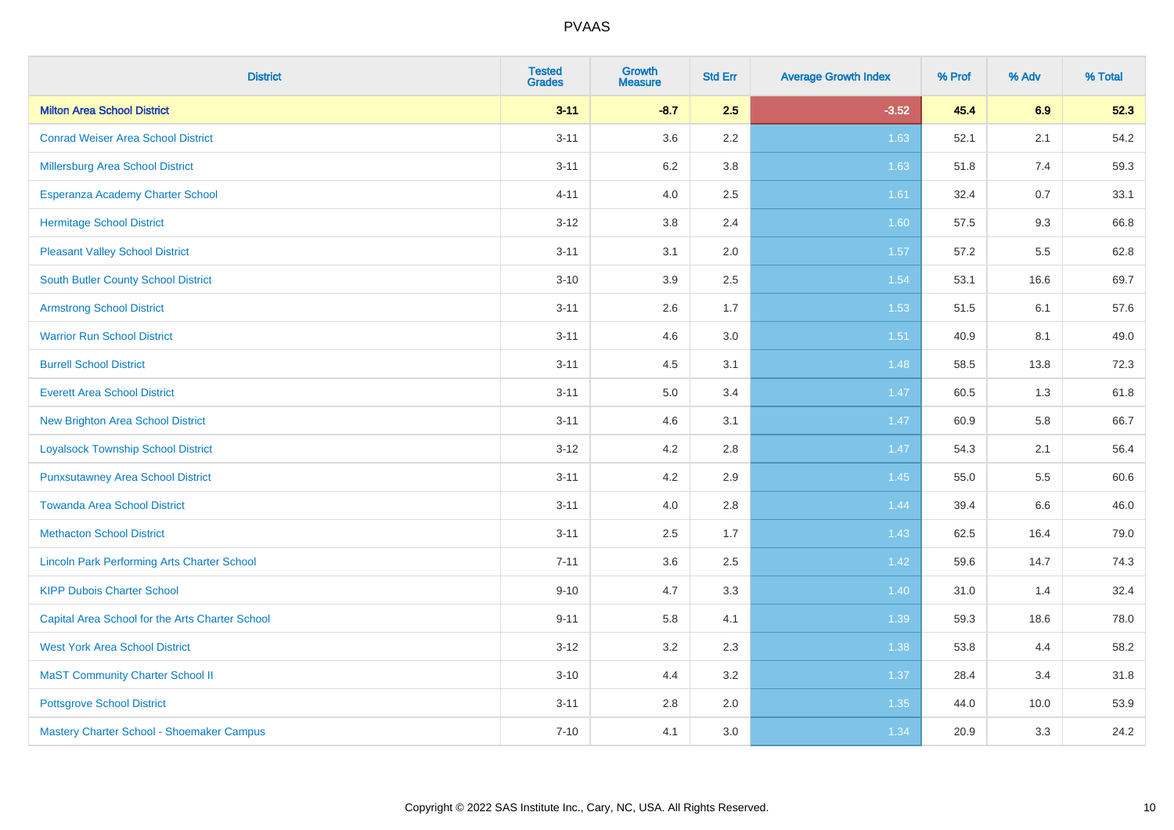| <b>District</b>                                    | <b>Tested</b><br><b>Grades</b> | <b>Growth</b><br><b>Measure</b> | <b>Std Err</b> | <b>Average Growth Index</b> | % Prof | % Adv | % Total |
|----------------------------------------------------|--------------------------------|---------------------------------|----------------|-----------------------------|--------|-------|---------|
| <b>Milton Area School District</b>                 | $3 - 11$                       | $-8.7$                          | 2.5            | $-3.52$                     | 45.4   | 6.9   | 52.3    |
| <b>Conrad Weiser Area School District</b>          | $3 - 11$                       | 3.6                             | 2.2            | 1.63                        | 52.1   | 2.1   | 54.2    |
| Millersburg Area School District                   | $3 - 11$                       | $6.2\,$                         | 3.8            | 1.63                        | 51.8   | 7.4   | 59.3    |
| Esperanza Academy Charter School                   | $4 - 11$                       | 4.0                             | 2.5            | 1.61                        | 32.4   | 0.7   | 33.1    |
| <b>Hermitage School District</b>                   | $3 - 12$                       | 3.8                             | 2.4            | 1.60                        | 57.5   | 9.3   | 66.8    |
| <b>Pleasant Valley School District</b>             | $3 - 11$                       | 3.1                             | 2.0            | 1.57                        | 57.2   | 5.5   | 62.8    |
| <b>South Butler County School District</b>         | $3 - 10$                       | 3.9                             | 2.5            | 1.54                        | 53.1   | 16.6  | 69.7    |
| <b>Armstrong School District</b>                   | $3 - 11$                       | 2.6                             | 1.7            | 1.53                        | 51.5   | 6.1   | 57.6    |
| <b>Warrior Run School District</b>                 | $3 - 11$                       | 4.6                             | 3.0            | 1.51                        | 40.9   | 8.1   | 49.0    |
| <b>Burrell School District</b>                     | $3 - 11$                       | 4.5                             | 3.1            | 1.48                        | 58.5   | 13.8  | 72.3    |
| <b>Everett Area School District</b>                | $3 - 11$                       | 5.0                             | 3.4            | 1.47                        | 60.5   | 1.3   | 61.8    |
| <b>New Brighton Area School District</b>           | $3 - 11$                       | 4.6                             | 3.1            | 1.47                        | 60.9   | 5.8   | 66.7    |
| <b>Loyalsock Township School District</b>          | $3 - 12$                       | 4.2                             | 2.8            | 1.47                        | 54.3   | 2.1   | 56.4    |
| <b>Punxsutawney Area School District</b>           | $3 - 11$                       | 4.2                             | 2.9            | 1.45                        | 55.0   | 5.5   | 60.6    |
| <b>Towanda Area School District</b>                | $3 - 11$                       | 4.0                             | 2.8            | 1.44                        | 39.4   | 6.6   | 46.0    |
| <b>Methacton School District</b>                   | $3 - 11$                       | 2.5                             | 1.7            | 1.43                        | 62.5   | 16.4  | 79.0    |
| <b>Lincoln Park Performing Arts Charter School</b> | $7 - 11$                       | 3.6                             | 2.5            | 1.42                        | 59.6   | 14.7  | 74.3    |
| <b>KIPP Dubois Charter School</b>                  | $9 - 10$                       | 4.7                             | 3.3            | 1.40                        | 31.0   | 1.4   | 32.4    |
| Capital Area School for the Arts Charter School    | $9 - 11$                       | 5.8                             | 4.1            | 1.39                        | 59.3   | 18.6  | 78.0    |
| <b>West York Area School District</b>              | $3 - 12$                       | 3.2                             | 2.3            | 1.38                        | 53.8   | 4.4   | 58.2    |
| <b>MaST Community Charter School II</b>            | $3 - 10$                       | 4.4                             | 3.2            | 1.37                        | 28.4   | 3.4   | 31.8    |
| <b>Pottsgrove School District</b>                  | $3 - 11$                       | 2.8                             | 2.0            | 1.35                        | 44.0   | 10.0  | 53.9    |
| Mastery Charter School - Shoemaker Campus          | $7 - 10$                       | 4.1                             | 3.0            | 1.34                        | 20.9   | 3.3   | 24.2    |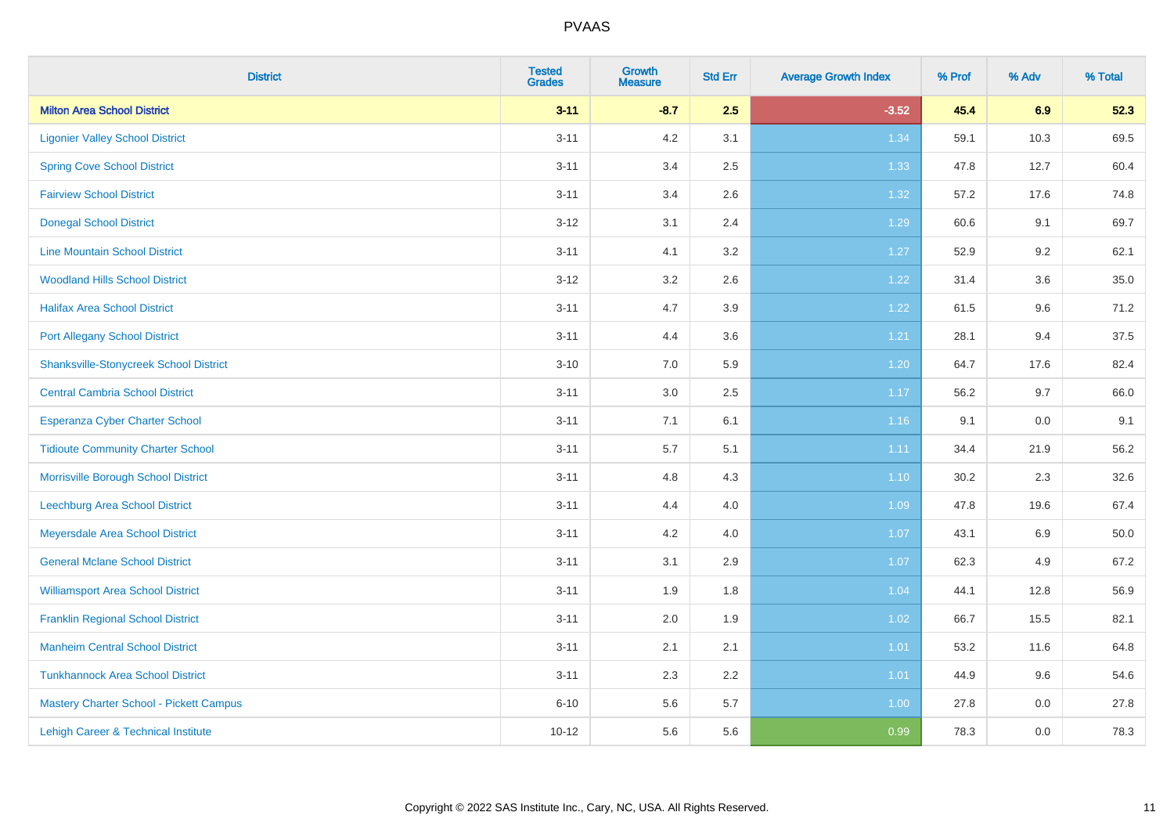| <b>District</b>                                | <b>Tested</b><br><b>Grades</b> | <b>Growth</b><br><b>Measure</b> | <b>Std Err</b> | <b>Average Growth Index</b> | % Prof | % Adv   | % Total |
|------------------------------------------------|--------------------------------|---------------------------------|----------------|-----------------------------|--------|---------|---------|
| <b>Milton Area School District</b>             | $3 - 11$                       | $-8.7$                          | 2.5            | $-3.52$                     | 45.4   | 6.9     | 52.3    |
| <b>Ligonier Valley School District</b>         | $3 - 11$                       | 4.2                             | 3.1            | 1.34                        | 59.1   | 10.3    | 69.5    |
| <b>Spring Cove School District</b>             | $3 - 11$                       | 3.4                             | 2.5            | 1.33                        | 47.8   | 12.7    | 60.4    |
| <b>Fairview School District</b>                | $3 - 11$                       | 3.4                             | 2.6            | 1.32                        | 57.2   | 17.6    | 74.8    |
| <b>Donegal School District</b>                 | $3 - 12$                       | 3.1                             | 2.4            | 1.29                        | 60.6   | 9.1     | 69.7    |
| <b>Line Mountain School District</b>           | $3 - 11$                       | 4.1                             | 3.2            | 1.27                        | 52.9   | 9.2     | 62.1    |
| <b>Woodland Hills School District</b>          | $3 - 12$                       | 3.2                             | 2.6            | 1.22                        | 31.4   | 3.6     | 35.0    |
| <b>Halifax Area School District</b>            | $3 - 11$                       | 4.7                             | 3.9            | 1.22                        | 61.5   | 9.6     | 71.2    |
| <b>Port Allegany School District</b>           | $3 - 11$                       | 4.4                             | 3.6            | 1.21                        | 28.1   | 9.4     | 37.5    |
| <b>Shanksville-Stonycreek School District</b>  | $3 - 10$                       | 7.0                             | 5.9            | 1.20                        | 64.7   | 17.6    | 82.4    |
| <b>Central Cambria School District</b>         | $3 - 11$                       | 3.0                             | 2.5            | 1.17                        | 56.2   | 9.7     | 66.0    |
| Esperanza Cyber Charter School                 | $3 - 11$                       | 7.1                             | 6.1            | 1.16                        | 9.1    | 0.0     | 9.1     |
| <b>Tidioute Community Charter School</b>       | $3 - 11$                       | 5.7                             | 5.1            | 1.11                        | 34.4   | 21.9    | 56.2    |
| Morrisville Borough School District            | $3 - 11$                       | 4.8                             | 4.3            | 1.10                        | 30.2   | 2.3     | 32.6    |
| Leechburg Area School District                 | $3 - 11$                       | 4.4                             | 4.0            | 1.09                        | 47.8   | 19.6    | 67.4    |
| Meyersdale Area School District                | $3 - 11$                       | 4.2                             | 4.0            | 1.07                        | 43.1   | $6.9\,$ | 50.0    |
| <b>General Mclane School District</b>          | $3 - 11$                       | 3.1                             | 2.9            | 1.07                        | 62.3   | 4.9     | 67.2    |
| <b>Williamsport Area School District</b>       | $3 - 11$                       | 1.9                             | 1.8            | 1.04                        | 44.1   | 12.8    | 56.9    |
| <b>Franklin Regional School District</b>       | $3 - 11$                       | 2.0                             | 1.9            | 1.02                        | 66.7   | 15.5    | 82.1    |
| <b>Manheim Central School District</b>         | $3 - 11$                       | 2.1                             | 2.1            | $1.01$                      | 53.2   | 11.6    | 64.8    |
| <b>Tunkhannock Area School District</b>        | $3 - 11$                       | 2.3                             | 2.2            | 1.01                        | 44.9   | 9.6     | 54.6    |
| <b>Mastery Charter School - Pickett Campus</b> | $6 - 10$                       | 5.6                             | 5.7            | 1.00                        | 27.8   | 0.0     | 27.8    |
| Lehigh Career & Technical Institute            | $10 - 12$                      | 5.6                             | 5.6            | 0.99                        | 78.3   | 0.0     | 78.3    |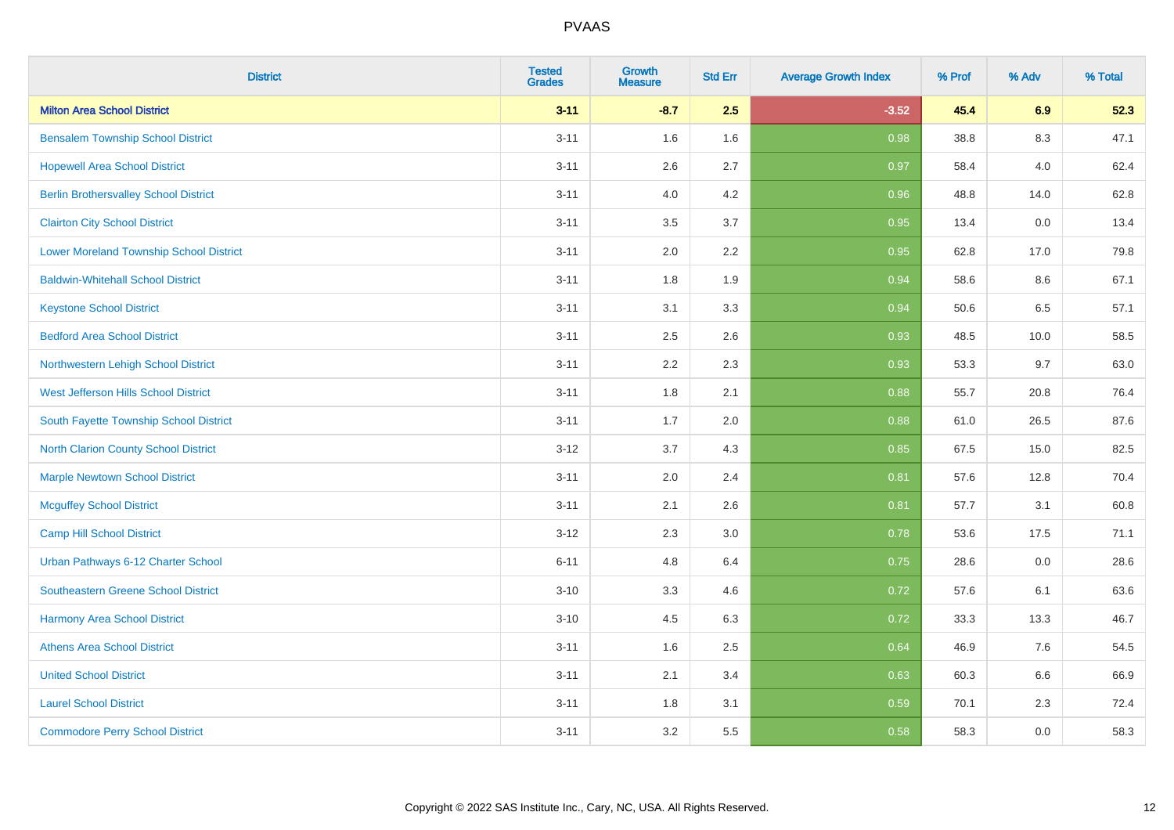| <b>District</b>                                | <b>Tested</b><br><b>Grades</b> | <b>Growth</b><br><b>Measure</b> | <b>Std Err</b> | <b>Average Growth Index</b> | % Prof | % Adv | % Total |
|------------------------------------------------|--------------------------------|---------------------------------|----------------|-----------------------------|--------|-------|---------|
| <b>Milton Area School District</b>             | $3 - 11$                       | $-8.7$                          | 2.5            | $-3.52$                     | 45.4   | 6.9   | 52.3    |
| <b>Bensalem Township School District</b>       | $3 - 11$                       | 1.6                             | 1.6            | 0.98                        | 38.8   | 8.3   | 47.1    |
| <b>Hopewell Area School District</b>           | $3 - 11$                       | 2.6                             | 2.7            | 0.97                        | 58.4   | 4.0   | 62.4    |
| <b>Berlin Brothersvalley School District</b>   | $3 - 11$                       | 4.0                             | 4.2            | 0.96                        | 48.8   | 14.0  | 62.8    |
| <b>Clairton City School District</b>           | $3 - 11$                       | 3.5                             | 3.7            | 0.95                        | 13.4   | 0.0   | 13.4    |
| <b>Lower Moreland Township School District</b> | $3 - 11$                       | 2.0                             | 2.2            | 0.95                        | 62.8   | 17.0  | 79.8    |
| <b>Baldwin-Whitehall School District</b>       | $3 - 11$                       | 1.8                             | 1.9            | 0.94                        | 58.6   | 8.6   | 67.1    |
| <b>Keystone School District</b>                | $3 - 11$                       | 3.1                             | 3.3            | 0.94                        | 50.6   | 6.5   | 57.1    |
| <b>Bedford Area School District</b>            | $3 - 11$                       | 2.5                             | 2.6            | 0.93                        | 48.5   | 10.0  | 58.5    |
| Northwestern Lehigh School District            | $3 - 11$                       | 2.2                             | 2.3            | 0.93                        | 53.3   | 9.7   | 63.0    |
| West Jefferson Hills School District           | $3 - 11$                       | 1.8                             | 2.1            | 0.88                        | 55.7   | 20.8  | 76.4    |
| South Fayette Township School District         | $3 - 11$                       | 1.7                             | 2.0            | 0.88                        | 61.0   | 26.5  | 87.6    |
| <b>North Clarion County School District</b>    | $3 - 12$                       | 3.7                             | 4.3            | 0.85                        | 67.5   | 15.0  | 82.5    |
| <b>Marple Newtown School District</b>          | $3 - 11$                       | 2.0                             | 2.4            | 0.81                        | 57.6   | 12.8  | 70.4    |
| <b>Mcguffey School District</b>                | $3 - 11$                       | 2.1                             | 2.6            | 0.81                        | 57.7   | 3.1   | 60.8    |
| <b>Camp Hill School District</b>               | $3 - 12$                       | 2.3                             | 3.0            | 0.78                        | 53.6   | 17.5  | 71.1    |
| Urban Pathways 6-12 Charter School             | $6 - 11$                       | 4.8                             | 6.4            | 0.75                        | 28.6   | 0.0   | 28.6    |
| Southeastern Greene School District            | $3 - 10$                       | 3.3                             | 4.6            | $\overline{0.72}$           | 57.6   | 6.1   | 63.6    |
| <b>Harmony Area School District</b>            | $3 - 10$                       | 4.5                             | 6.3            | 0.72                        | 33.3   | 13.3  | 46.7    |
| <b>Athens Area School District</b>             | $3 - 11$                       | 1.6                             | 2.5            | 0.64                        | 46.9   | 7.6   | 54.5    |
| <b>United School District</b>                  | $3 - 11$                       | 2.1                             | 3.4            | 0.63                        | 60.3   | 6.6   | 66.9    |
| <b>Laurel School District</b>                  | $3 - 11$                       | 1.8                             | 3.1            | 0.59                        | 70.1   | 2.3   | 72.4    |
| <b>Commodore Perry School District</b>         | $3 - 11$                       | 3.2                             | 5.5            | 0.58                        | 58.3   | 0.0   | 58.3    |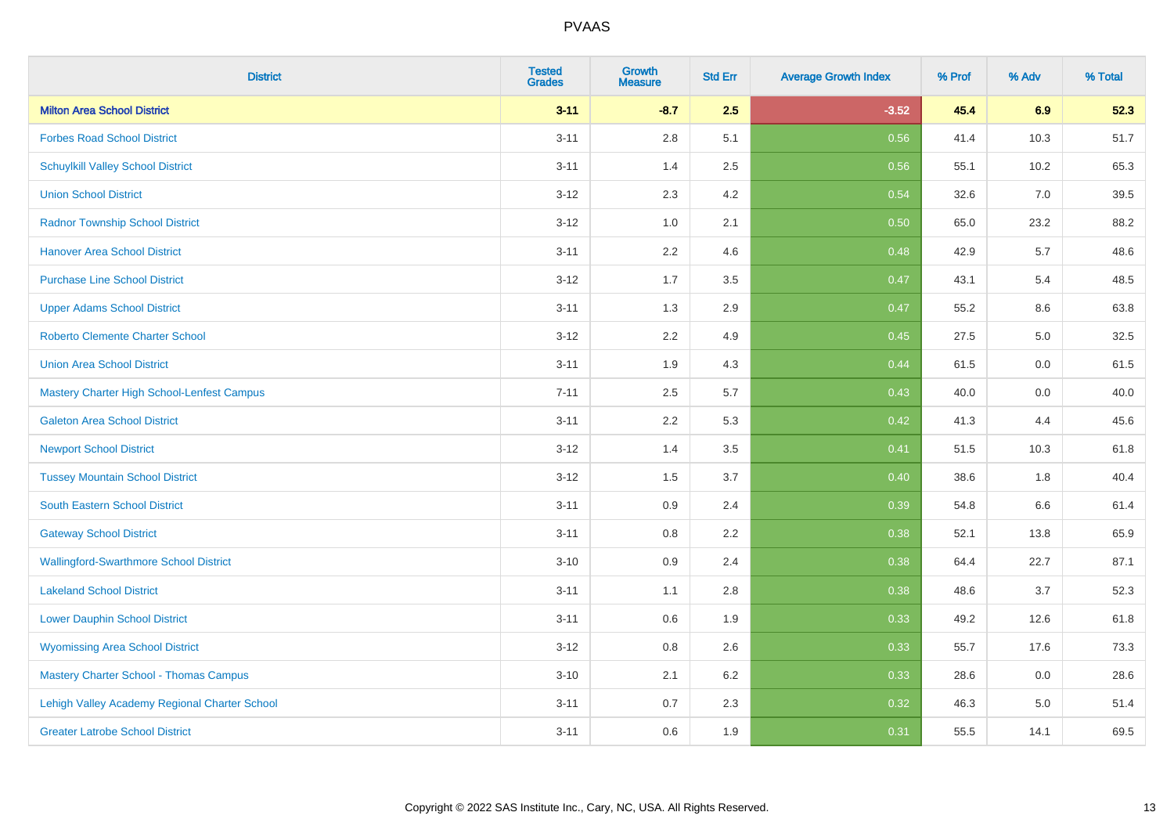| <b>District</b>                               | <b>Tested</b><br><b>Grades</b> | <b>Growth</b><br><b>Measure</b> | <b>Std Err</b> | <b>Average Growth Index</b> | % Prof | % Adv | % Total |
|-----------------------------------------------|--------------------------------|---------------------------------|----------------|-----------------------------|--------|-------|---------|
| <b>Milton Area School District</b>            | $3 - 11$                       | $-8.7$                          | 2.5            | $-3.52$                     | 45.4   | 6.9   | 52.3    |
| <b>Forbes Road School District</b>            | $3 - 11$                       | 2.8                             | 5.1            | 0.56                        | 41.4   | 10.3  | 51.7    |
| <b>Schuylkill Valley School District</b>      | $3 - 11$                       | 1.4                             | 2.5            | 0.56                        | 55.1   | 10.2  | 65.3    |
| <b>Union School District</b>                  | $3 - 12$                       | 2.3                             | 4.2            | 0.54                        | 32.6   | 7.0   | 39.5    |
| <b>Radnor Township School District</b>        | $3 - 12$                       | 1.0                             | 2.1            | 0.50                        | 65.0   | 23.2  | 88.2    |
| <b>Hanover Area School District</b>           | $3 - 11$                       | 2.2                             | 4.6            | 0.48                        | 42.9   | 5.7   | 48.6    |
| <b>Purchase Line School District</b>          | $3 - 12$                       | 1.7                             | 3.5            | 0.47                        | 43.1   | 5.4   | 48.5    |
| <b>Upper Adams School District</b>            | $3 - 11$                       | 1.3                             | 2.9            | 0.47                        | 55.2   | 8.6   | 63.8    |
| <b>Roberto Clemente Charter School</b>        | $3 - 12$                       | 2.2                             | 4.9            | 0.45                        | 27.5   | 5.0   | 32.5    |
| <b>Union Area School District</b>             | $3 - 11$                       | 1.9                             | 4.3            | 0.44                        | 61.5   | 0.0   | 61.5    |
| Mastery Charter High School-Lenfest Campus    | $7 - 11$                       | 2.5                             | 5.7            | 0.43                        | 40.0   | 0.0   | 40.0    |
| <b>Galeton Area School District</b>           | $3 - 11$                       | 2.2                             | 5.3            | 0.42                        | 41.3   | 4.4   | 45.6    |
| <b>Newport School District</b>                | $3 - 12$                       | 1.4                             | 3.5            | 0.41                        | 51.5   | 10.3  | 61.8    |
| <b>Tussey Mountain School District</b>        | $3 - 12$                       | 1.5                             | 3.7            | 0.40                        | 38.6   | 1.8   | 40.4    |
| <b>South Eastern School District</b>          | $3 - 11$                       | $0.9\,$                         | 2.4            | 0.39                        | 54.8   | 6.6   | 61.4    |
| <b>Gateway School District</b>                | $3 - 11$                       | 0.8                             | 2.2            | 0.38                        | 52.1   | 13.8  | 65.9    |
| <b>Wallingford-Swarthmore School District</b> | $3 - 10$                       | 0.9                             | 2.4            | 0.38                        | 64.4   | 22.7  | 87.1    |
| <b>Lakeland School District</b>               | $3 - 11$                       | 1.1                             | 2.8            | 0.38                        | 48.6   | 3.7   | 52.3    |
| <b>Lower Dauphin School District</b>          | $3 - 11$                       | 0.6                             | 1.9            | 0.33                        | 49.2   | 12.6  | 61.8    |
| <b>Wyomissing Area School District</b>        | $3 - 12$                       | 0.8                             | 2.6            | 0.33                        | 55.7   | 17.6  | 73.3    |
| <b>Mastery Charter School - Thomas Campus</b> | $3 - 10$                       | 2.1                             | 6.2            | 0.33                        | 28.6   | 0.0   | 28.6    |
| Lehigh Valley Academy Regional Charter School | $3 - 11$                       | 0.7                             | 2.3            | 0.32                        | 46.3   | 5.0   | 51.4    |
| <b>Greater Latrobe School District</b>        | $3 - 11$                       | 0.6                             | 1.9            | 0.31                        | 55.5   | 14.1  | 69.5    |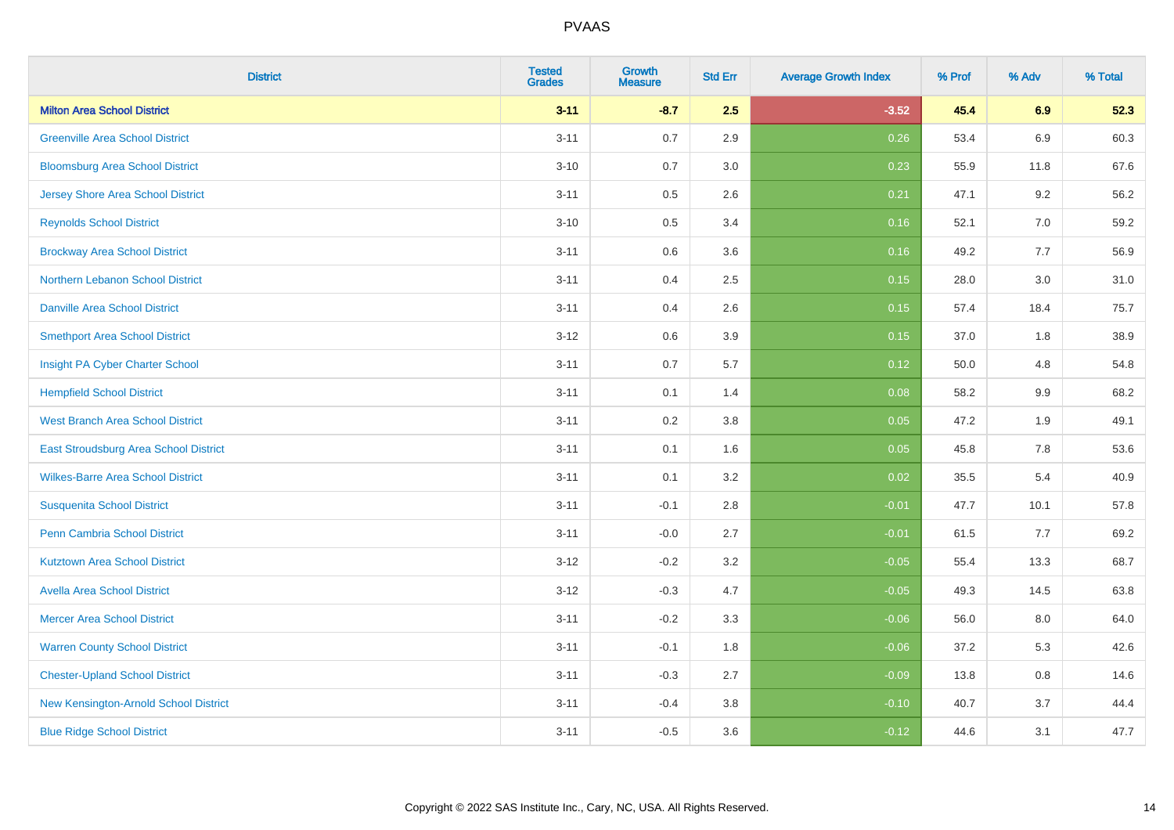| <b>District</b>                              | <b>Tested</b><br><b>Grades</b> | <b>Growth</b><br><b>Measure</b> | <b>Std Err</b> | <b>Average Growth Index</b> | % Prof | % Adv   | % Total |
|----------------------------------------------|--------------------------------|---------------------------------|----------------|-----------------------------|--------|---------|---------|
| <b>Milton Area School District</b>           | $3 - 11$                       | $-8.7$                          | 2.5            | $-3.52$                     | 45.4   | 6.9     | 52.3    |
| <b>Greenville Area School District</b>       | $3 - 11$                       | $0.7\,$                         | 2.9            | 0.26                        | 53.4   | 6.9     | 60.3    |
| <b>Bloomsburg Area School District</b>       | $3 - 10$                       | 0.7                             | 3.0            | 0.23                        | 55.9   | 11.8    | 67.6    |
| <b>Jersey Shore Area School District</b>     | $3 - 11$                       | $0.5\,$                         | 2.6            | 0.21                        | 47.1   | 9.2     | 56.2    |
| <b>Reynolds School District</b>              | $3 - 10$                       | 0.5                             | 3.4            | 0.16                        | 52.1   | 7.0     | 59.2    |
| <b>Brockway Area School District</b>         | $3 - 11$                       | $0.6\,$                         | 3.6            | 0.16                        | 49.2   | 7.7     | 56.9    |
| Northern Lebanon School District             | $3 - 11$                       | 0.4                             | 2.5            | 0.15                        | 28.0   | 3.0     | 31.0    |
| <b>Danville Area School District</b>         | $3 - 11$                       | 0.4                             | 2.6            | 0.15                        | 57.4   | 18.4    | 75.7    |
| <b>Smethport Area School District</b>        | $3 - 12$                       | 0.6                             | 3.9            | 0.15                        | 37.0   | 1.8     | 38.9    |
| Insight PA Cyber Charter School              | $3 - 11$                       | $0.7\,$                         | 5.7            | 0.12                        | 50.0   | 4.8     | 54.8    |
| <b>Hempfield School District</b>             | $3 - 11$                       | 0.1                             | 1.4            | 0.08                        | 58.2   | 9.9     | 68.2    |
| <b>West Branch Area School District</b>      | $3 - 11$                       | 0.2                             | 3.8            | 0.05                        | 47.2   | 1.9     | 49.1    |
| <b>East Stroudsburg Area School District</b> | $3 - 11$                       | 0.1                             | 1.6            | 0.05                        | 45.8   | 7.8     | 53.6    |
| <b>Wilkes-Barre Area School District</b>     | $3 - 11$                       | 0.1                             | 3.2            | 0.02                        | 35.5   | 5.4     | 40.9    |
| <b>Susquenita School District</b>            | $3 - 11$                       | $-0.1$                          | 2.8            | $-0.01$                     | 47.7   | 10.1    | 57.8    |
| Penn Cambria School District                 | $3 - 11$                       | $-0.0$                          | 2.7            | $-0.01$                     | 61.5   | 7.7     | 69.2    |
| <b>Kutztown Area School District</b>         | $3 - 12$                       | $-0.2$                          | 3.2            | $-0.05$                     | 55.4   | 13.3    | 68.7    |
| <b>Avella Area School District</b>           | $3 - 12$                       | $-0.3$                          | 4.7            | $-0.05$                     | 49.3   | 14.5    | 63.8    |
| <b>Mercer Area School District</b>           | $3 - 11$                       | $-0.2$                          | 3.3            | $-0.06$                     | 56.0   | $8.0\,$ | 64.0    |
| <b>Warren County School District</b>         | $3 - 11$                       | $-0.1$                          | 1.8            | $-0.06$                     | 37.2   | 5.3     | 42.6    |
| <b>Chester-Upland School District</b>        | $3 - 11$                       | $-0.3$                          | 2.7            | $-0.09$                     | 13.8   | 0.8     | 14.6    |
| New Kensington-Arnold School District        | $3 - 11$                       | $-0.4$                          | 3.8            | $-0.10$                     | 40.7   | 3.7     | 44.4    |
| <b>Blue Ridge School District</b>            | $3 - 11$                       | $-0.5$                          | 3.6            | $-0.12$                     | 44.6   | 3.1     | 47.7    |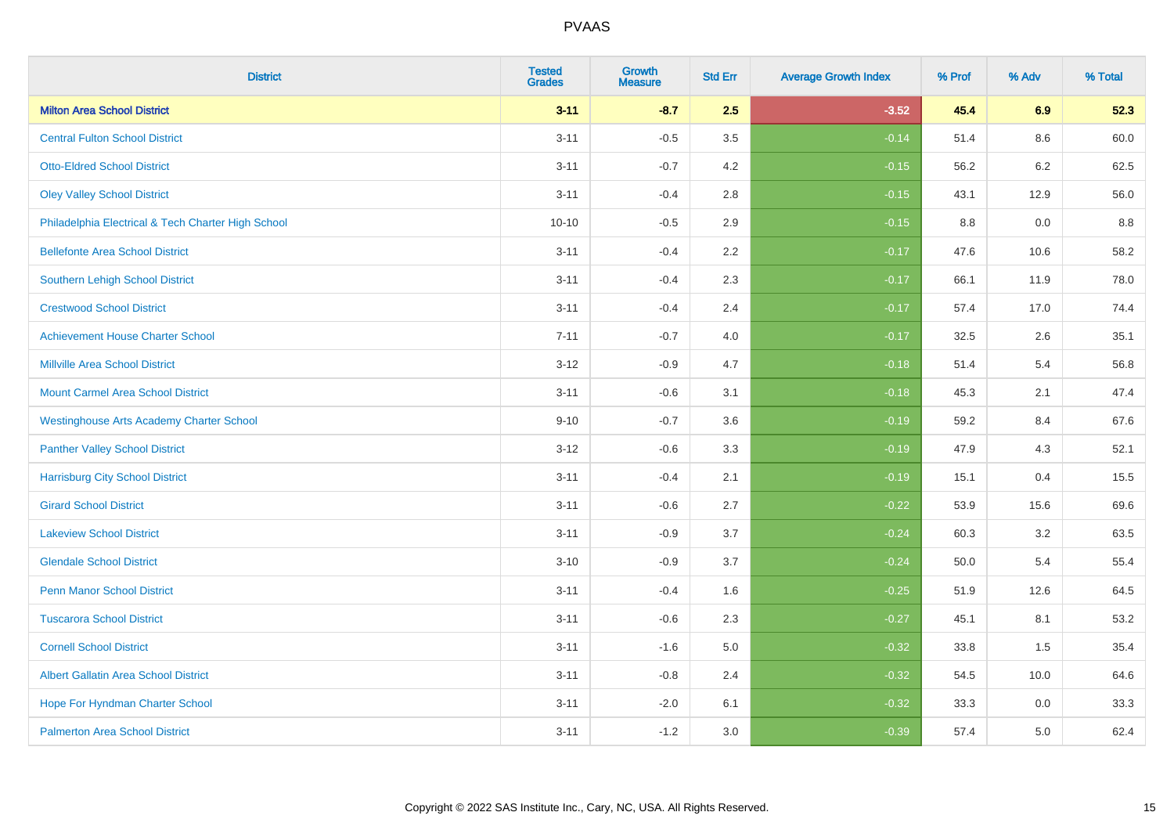| <b>District</b>                                    | <b>Tested</b><br><b>Grades</b> | <b>Growth</b><br><b>Measure</b> | <b>Std Err</b> | <b>Average Growth Index</b> | % Prof | % Adv | % Total |
|----------------------------------------------------|--------------------------------|---------------------------------|----------------|-----------------------------|--------|-------|---------|
| <b>Milton Area School District</b>                 | $3 - 11$                       | $-8.7$                          | 2.5            | $-3.52$                     | 45.4   | 6.9   | 52.3    |
| <b>Central Fulton School District</b>              | $3 - 11$                       | $-0.5$                          | 3.5            | $-0.14$                     | 51.4   | 8.6   | 60.0    |
| <b>Otto-Eldred School District</b>                 | $3 - 11$                       | $-0.7$                          | 4.2            | $-0.15$                     | 56.2   | 6.2   | 62.5    |
| <b>Oley Valley School District</b>                 | $3 - 11$                       | $-0.4$                          | 2.8            | $-0.15$                     | 43.1   | 12.9  | 56.0    |
| Philadelphia Electrical & Tech Charter High School | $10 - 10$                      | $-0.5$                          | 2.9            | $-0.15$                     | 8.8    | 0.0   | 8.8     |
| <b>Bellefonte Area School District</b>             | $3 - 11$                       | $-0.4$                          | 2.2            | $-0.17$                     | 47.6   | 10.6  | 58.2    |
| Southern Lehigh School District                    | $3 - 11$                       | $-0.4$                          | 2.3            | $-0.17$                     | 66.1   | 11.9  | 78.0    |
| <b>Crestwood School District</b>                   | $3 - 11$                       | $-0.4$                          | 2.4            | $-0.17$                     | 57.4   | 17.0  | 74.4    |
| <b>Achievement House Charter School</b>            | $7 - 11$                       | $-0.7$                          | 4.0            | $-0.17$                     | 32.5   | 2.6   | 35.1    |
| <b>Millville Area School District</b>              | $3 - 12$                       | $-0.9$                          | 4.7            | $-0.18$                     | 51.4   | 5.4   | 56.8    |
| <b>Mount Carmel Area School District</b>           | $3 - 11$                       | $-0.6$                          | 3.1            | $-0.18$                     | 45.3   | 2.1   | 47.4    |
| <b>Westinghouse Arts Academy Charter School</b>    | $9 - 10$                       | $-0.7$                          | 3.6            | $-0.19$                     | 59.2   | 8.4   | 67.6    |
| <b>Panther Valley School District</b>              | $3-12$                         | $-0.6$                          | 3.3            | $-0.19$                     | 47.9   | 4.3   | 52.1    |
| <b>Harrisburg City School District</b>             | $3 - 11$                       | $-0.4$                          | 2.1            | $-0.19$                     | 15.1   | 0.4   | 15.5    |
| <b>Girard School District</b>                      | $3 - 11$                       | $-0.6$                          | 2.7            | $-0.22$                     | 53.9   | 15.6  | 69.6    |
| <b>Lakeview School District</b>                    | $3 - 11$                       | $-0.9$                          | 3.7            | $-0.24$                     | 60.3   | 3.2   | 63.5    |
| <b>Glendale School District</b>                    | $3 - 10$                       | $-0.9$                          | 3.7            | $-0.24$                     | 50.0   | 5.4   | 55.4    |
| <b>Penn Manor School District</b>                  | $3 - 11$                       | $-0.4$                          | 1.6            | $-0.25$                     | 51.9   | 12.6  | 64.5    |
| <b>Tuscarora School District</b>                   | $3 - 11$                       | $-0.6$                          | 2.3            | $-0.27$                     | 45.1   | 8.1   | 53.2    |
| <b>Cornell School District</b>                     | $3 - 11$                       | $-1.6$                          | 5.0            | $-0.32$                     | 33.8   | 1.5   | 35.4    |
| <b>Albert Gallatin Area School District</b>        | $3 - 11$                       | $-0.8$                          | 2.4            | $-0.32$                     | 54.5   | 10.0  | 64.6    |
| Hope For Hyndman Charter School                    | $3 - 11$                       | $-2.0$                          | 6.1            | $-0.32$                     | 33.3   | 0.0   | 33.3    |
| <b>Palmerton Area School District</b>              | $3 - 11$                       | $-1.2$                          | 3.0            | $-0.39$                     | 57.4   | 5.0   | 62.4    |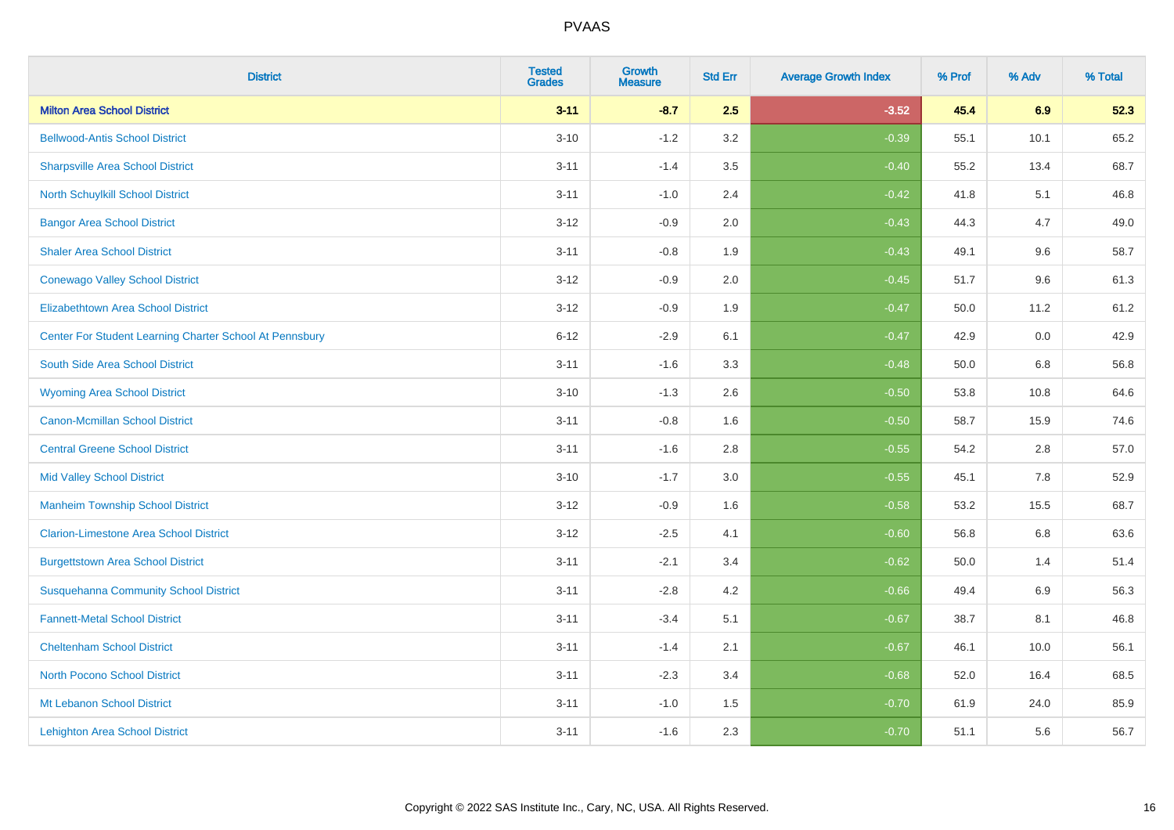| <b>District</b>                                         | <b>Tested</b><br><b>Grades</b> | <b>Growth</b><br><b>Measure</b> | <b>Std Err</b> | <b>Average Growth Index</b> | % Prof | % Adv   | % Total |
|---------------------------------------------------------|--------------------------------|---------------------------------|----------------|-----------------------------|--------|---------|---------|
| <b>Milton Area School District</b>                      | $3 - 11$                       | $-8.7$                          | 2.5            | $-3.52$                     | 45.4   | 6.9     | 52.3    |
| <b>Bellwood-Antis School District</b>                   | $3 - 10$                       | $-1.2$                          | 3.2            | $-0.39$                     | 55.1   | 10.1    | 65.2    |
| <b>Sharpsville Area School District</b>                 | $3 - 11$                       | $-1.4$                          | 3.5            | $-0.40$                     | 55.2   | 13.4    | 68.7    |
| North Schuylkill School District                        | $3 - 11$                       | $-1.0$                          | 2.4            | $-0.42$                     | 41.8   | 5.1     | 46.8    |
| <b>Bangor Area School District</b>                      | $3 - 12$                       | $-0.9$                          | 2.0            | $-0.43$                     | 44.3   | 4.7     | 49.0    |
| <b>Shaler Area School District</b>                      | $3 - 11$                       | $-0.8$                          | 1.9            | $-0.43$                     | 49.1   | 9.6     | 58.7    |
| <b>Conewago Valley School District</b>                  | $3 - 12$                       | $-0.9$                          | 2.0            | $-0.45$                     | 51.7   | 9.6     | 61.3    |
| <b>Elizabethtown Area School District</b>               | $3 - 12$                       | $-0.9$                          | 1.9            | $-0.47$                     | 50.0   | 11.2    | 61.2    |
| Center For Student Learning Charter School At Pennsbury | $6 - 12$                       | $-2.9$                          | 6.1            | $-0.47$                     | 42.9   | 0.0     | 42.9    |
| South Side Area School District                         | $3 - 11$                       | $-1.6$                          | 3.3            | $-0.48$                     | 50.0   | 6.8     | 56.8    |
| <b>Wyoming Area School District</b>                     | $3 - 10$                       | $-1.3$                          | 2.6            | $-0.50$                     | 53.8   | 10.8    | 64.6    |
| <b>Canon-Mcmillan School District</b>                   | $3 - 11$                       | $-0.8$                          | 1.6            | $-0.50$                     | 58.7   | 15.9    | 74.6    |
| <b>Central Greene School District</b>                   | $3 - 11$                       | $-1.6$                          | 2.8            | $-0.55$                     | 54.2   | $2.8\,$ | 57.0    |
| <b>Mid Valley School District</b>                       | $3 - 10$                       | $-1.7$                          | 3.0            | $-0.55$                     | 45.1   | 7.8     | 52.9    |
| <b>Manheim Township School District</b>                 | $3 - 12$                       | $-0.9$                          | 1.6            | $-0.58$                     | 53.2   | 15.5    | 68.7    |
| <b>Clarion-Limestone Area School District</b>           | $3 - 12$                       | $-2.5$                          | 4.1            | $-0.60$                     | 56.8   | $6.8\,$ | 63.6    |
| <b>Burgettstown Area School District</b>                | $3 - 11$                       | $-2.1$                          | 3.4            | $-0.62$                     | 50.0   | 1.4     | 51.4    |
| <b>Susquehanna Community School District</b>            | $3 - 11$                       | $-2.8$                          | 4.2            | $-0.66$                     | 49.4   | 6.9     | 56.3    |
| <b>Fannett-Metal School District</b>                    | $3 - 11$                       | $-3.4$                          | 5.1            | $-0.67$                     | 38.7   | 8.1     | 46.8    |
| <b>Cheltenham School District</b>                       | $3 - 11$                       | $-1.4$                          | 2.1            | $-0.67$                     | 46.1   | 10.0    | 56.1    |
| <b>North Pocono School District</b>                     | $3 - 11$                       | $-2.3$                          | 3.4            | $-0.68$                     | 52.0   | 16.4    | 68.5    |
| Mt Lebanon School District                              | $3 - 11$                       | $-1.0$                          | 1.5            | $-0.70$                     | 61.9   | 24.0    | 85.9    |
| <b>Lehighton Area School District</b>                   | $3 - 11$                       | $-1.6$                          | 2.3            | $-0.70$                     | 51.1   | 5.6     | 56.7    |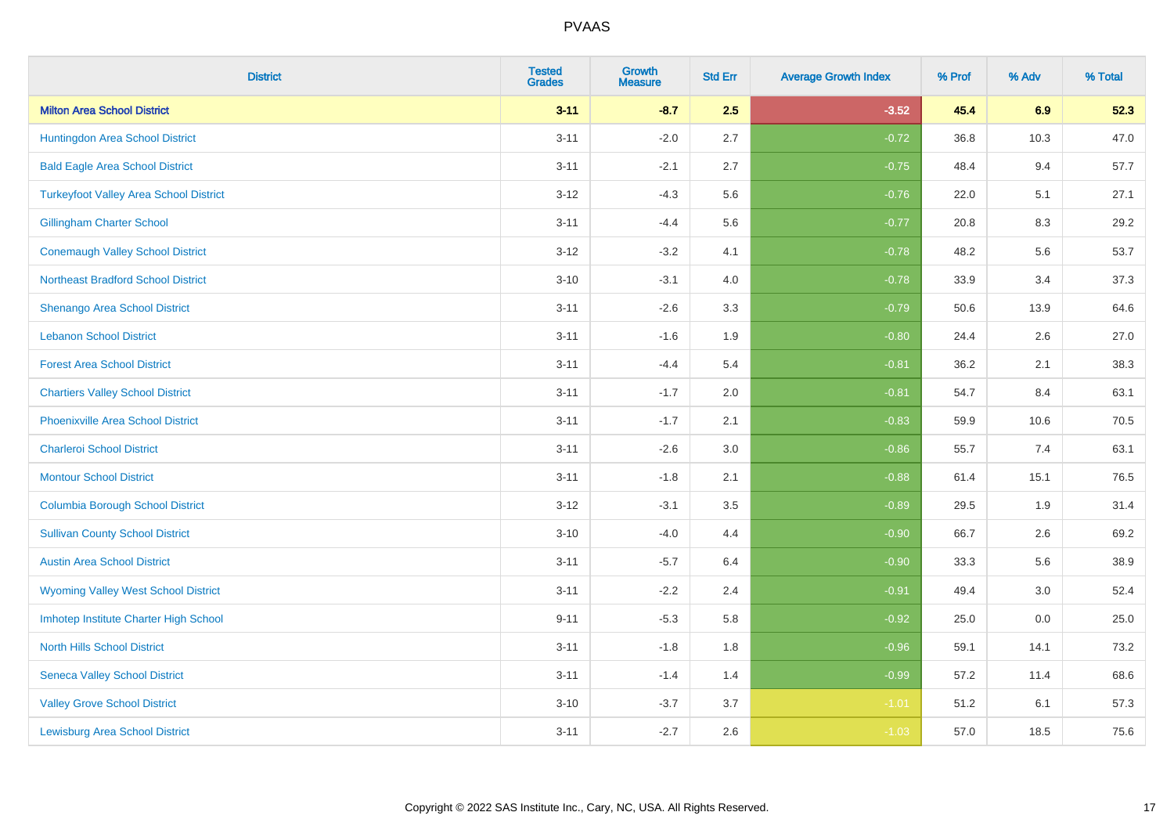| <b>District</b>                               | <b>Tested</b><br><b>Grades</b> | <b>Growth</b><br><b>Measure</b> | <b>Std Err</b> | <b>Average Growth Index</b> | % Prof | % Adv | % Total |
|-----------------------------------------------|--------------------------------|---------------------------------|----------------|-----------------------------|--------|-------|---------|
| <b>Milton Area School District</b>            | $3 - 11$                       | $-8.7$                          | 2.5            | $-3.52$                     | 45.4   | 6.9   | 52.3    |
| Huntingdon Area School District               | $3 - 11$                       | $-2.0$                          | 2.7            | $-0.72$                     | 36.8   | 10.3  | 47.0    |
| <b>Bald Eagle Area School District</b>        | $3 - 11$                       | $-2.1$                          | 2.7            | $-0.75$                     | 48.4   | 9.4   | 57.7    |
| <b>Turkeyfoot Valley Area School District</b> | $3-12$                         | $-4.3$                          | 5.6            | $-0.76$                     | 22.0   | 5.1   | 27.1    |
| <b>Gillingham Charter School</b>              | $3 - 11$                       | $-4.4$                          | 5.6            | $-0.77$                     | 20.8   | 8.3   | 29.2    |
| <b>Conemaugh Valley School District</b>       | $3 - 12$                       | $-3.2$                          | 4.1            | $-0.78$                     | 48.2   | 5.6   | 53.7    |
| <b>Northeast Bradford School District</b>     | $3 - 10$                       | $-3.1$                          | 4.0            | $-0.78$                     | 33.9   | 3.4   | 37.3    |
| <b>Shenango Area School District</b>          | $3 - 11$                       | $-2.6$                          | 3.3            | $-0.79$                     | 50.6   | 13.9  | 64.6    |
| <b>Lebanon School District</b>                | $3 - 11$                       | $-1.6$                          | 1.9            | $-0.80$                     | 24.4   | 2.6   | 27.0    |
| <b>Forest Area School District</b>            | $3 - 11$                       | $-4.4$                          | 5.4            | $-0.81$                     | 36.2   | 2.1   | 38.3    |
| <b>Chartiers Valley School District</b>       | $3 - 11$                       | $-1.7$                          | 2.0            | $-0.81$                     | 54.7   | 8.4   | 63.1    |
| <b>Phoenixville Area School District</b>      | $3 - 11$                       | $-1.7$                          | 2.1            | $-0.83$                     | 59.9   | 10.6  | 70.5    |
| <b>Charleroi School District</b>              | $3 - 11$                       | $-2.6$                          | 3.0            | $-0.86$                     | 55.7   | 7.4   | 63.1    |
| <b>Montour School District</b>                | $3 - 11$                       | $-1.8$                          | 2.1            | $-0.88$                     | 61.4   | 15.1  | 76.5    |
| <b>Columbia Borough School District</b>       | $3-12$                         | $-3.1$                          | 3.5            | $-0.89$                     | 29.5   | 1.9   | 31.4    |
| <b>Sullivan County School District</b>        | $3 - 10$                       | $-4.0$                          | 4.4            | $-0.90$                     | 66.7   | 2.6   | 69.2    |
| <b>Austin Area School District</b>            | $3 - 11$                       | $-5.7$                          | 6.4            | $-0.90$                     | 33.3   | 5.6   | 38.9    |
| <b>Wyoming Valley West School District</b>    | $3 - 11$                       | $-2.2$                          | 2.4            | $-0.91$                     | 49.4   | 3.0   | 52.4    |
| Imhotep Institute Charter High School         | $9 - 11$                       | $-5.3$                          | 5.8            | $-0.92$                     | 25.0   | 0.0   | 25.0    |
| <b>North Hills School District</b>            | $3 - 11$                       | $-1.8$                          | 1.8            | $-0.96$                     | 59.1   | 14.1  | 73.2    |
| <b>Seneca Valley School District</b>          | $3 - 11$                       | $-1.4$                          | 1.4            | $-0.99$                     | 57.2   | 11.4  | 68.6    |
| <b>Valley Grove School District</b>           | $3 - 10$                       | $-3.7$                          | 3.7            | $-1.01$                     | 51.2   | 6.1   | 57.3    |
| <b>Lewisburg Area School District</b>         | $3 - 11$                       | $-2.7$                          | 2.6            | $-1.03$                     | 57.0   | 18.5  | 75.6    |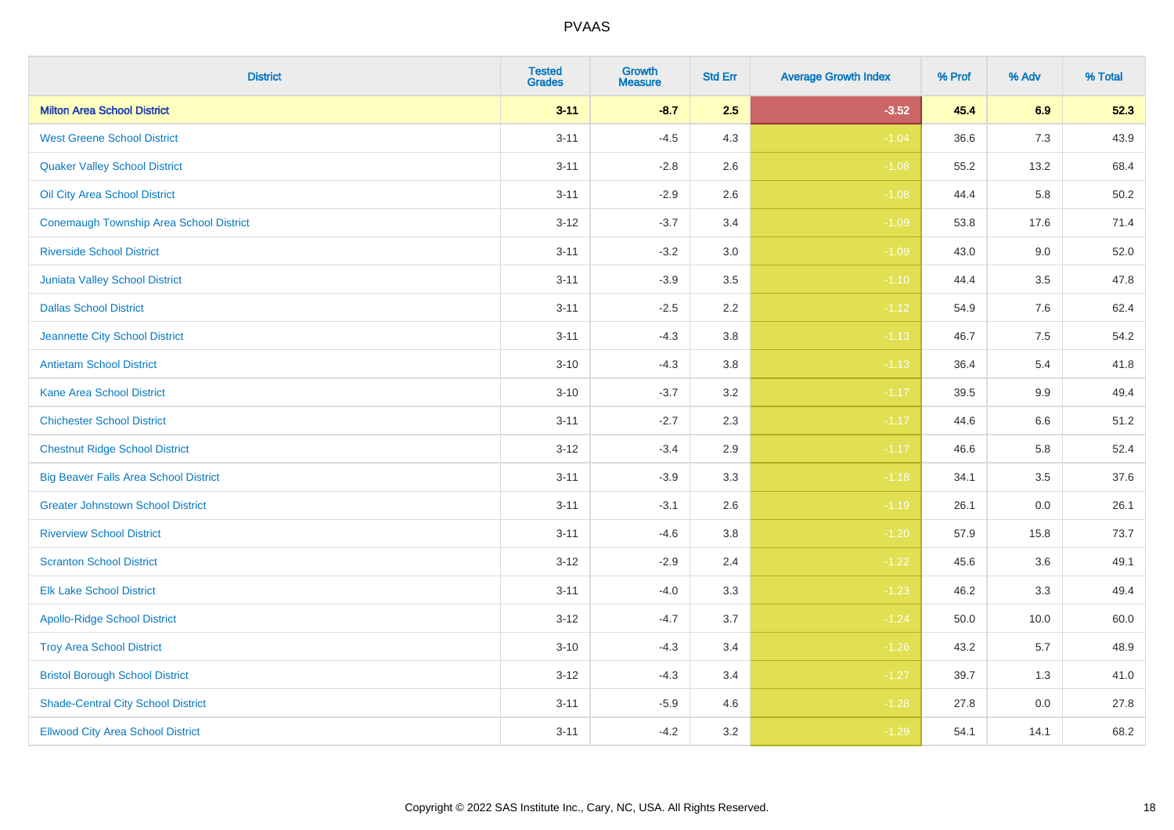| <b>District</b>                                | <b>Tested</b><br><b>Grades</b> | <b>Growth</b><br><b>Measure</b> | <b>Std Err</b> | <b>Average Growth Index</b> | % Prof | % Adv   | % Total |
|------------------------------------------------|--------------------------------|---------------------------------|----------------|-----------------------------|--------|---------|---------|
| <b>Milton Area School District</b>             | $3 - 11$                       | $-8.7$                          | 2.5            | $-3.52$                     | 45.4   | 6.9     | 52.3    |
| <b>West Greene School District</b>             | $3 - 11$                       | $-4.5$                          | 4.3            | $-1.04$                     | 36.6   | 7.3     | 43.9    |
| <b>Quaker Valley School District</b>           | $3 - 11$                       | $-2.8$                          | 2.6            | $-1.08$                     | 55.2   | 13.2    | 68.4    |
| Oil City Area School District                  | $3 - 11$                       | $-2.9$                          | 2.6            | $-1.08$                     | 44.4   | 5.8     | 50.2    |
| <b>Conemaugh Township Area School District</b> | $3 - 12$                       | $-3.7$                          | 3.4            | $-1.09$                     | 53.8   | 17.6    | 71.4    |
| <b>Riverside School District</b>               | $3 - 11$                       | $-3.2$                          | 3.0            | $-1.09$                     | 43.0   | 9.0     | 52.0    |
| Juniata Valley School District                 | $3 - 11$                       | $-3.9$                          | 3.5            | $-1.10$                     | 44.4   | 3.5     | 47.8    |
| <b>Dallas School District</b>                  | $3 - 11$                       | $-2.5$                          | 2.2            | $-1.12$                     | 54.9   | 7.6     | 62.4    |
| Jeannette City School District                 | $3 - 11$                       | $-4.3$                          | 3.8            | $-1.13$                     | 46.7   | 7.5     | 54.2    |
| <b>Antietam School District</b>                | $3 - 10$                       | $-4.3$                          | 3.8            | $-1.13$                     | 36.4   | 5.4     | 41.8    |
| <b>Kane Area School District</b>               | $3 - 10$                       | $-3.7$                          | 3.2            | $-1.17$                     | 39.5   | 9.9     | 49.4    |
| <b>Chichester School District</b>              | $3 - 11$                       | $-2.7$                          | 2.3            | $-1.17$                     | 44.6   | $6.6\,$ | 51.2    |
| <b>Chestnut Ridge School District</b>          | $3 - 12$                       | $-3.4$                          | 2.9            | $-1.17$                     | 46.6   | 5.8     | 52.4    |
| <b>Big Beaver Falls Area School District</b>   | $3 - 11$                       | $-3.9$                          | 3.3            | $-1.18$                     | 34.1   | 3.5     | 37.6    |
| <b>Greater Johnstown School District</b>       | $3 - 11$                       | $-3.1$                          | 2.6            | $-1.19$                     | 26.1   | 0.0     | 26.1    |
| <b>Riverview School District</b>               | $3 - 11$                       | $-4.6$                          | 3.8            | $-1.20$                     | 57.9   | 15.8    | 73.7    |
| <b>Scranton School District</b>                | $3 - 12$                       | $-2.9$                          | 2.4            | $-1.22$                     | 45.6   | 3.6     | 49.1    |
| <b>Elk Lake School District</b>                | $3 - 11$                       | $-4.0$                          | 3.3            | $-1.23$                     | 46.2   | 3.3     | 49.4    |
| <b>Apollo-Ridge School District</b>            | $3 - 12$                       | $-4.7$                          | 3.7            | $-1.24$                     | 50.0   | 10.0    | 60.0    |
| <b>Troy Area School District</b>               | $3 - 10$                       | $-4.3$                          | 3.4            | $-1.26$                     | 43.2   | 5.7     | 48.9    |
| <b>Bristol Borough School District</b>         | $3 - 12$                       | $-4.3$                          | 3.4            | $-1.27$                     | 39.7   | 1.3     | 41.0    |
| <b>Shade-Central City School District</b>      | $3 - 11$                       | $-5.9$                          | 4.6            | $-1.28$                     | 27.8   | 0.0     | 27.8    |
| <b>Ellwood City Area School District</b>       | $3 - 11$                       | $-4.2$                          | 3.2            | $-1.29$                     | 54.1   | 14.1    | 68.2    |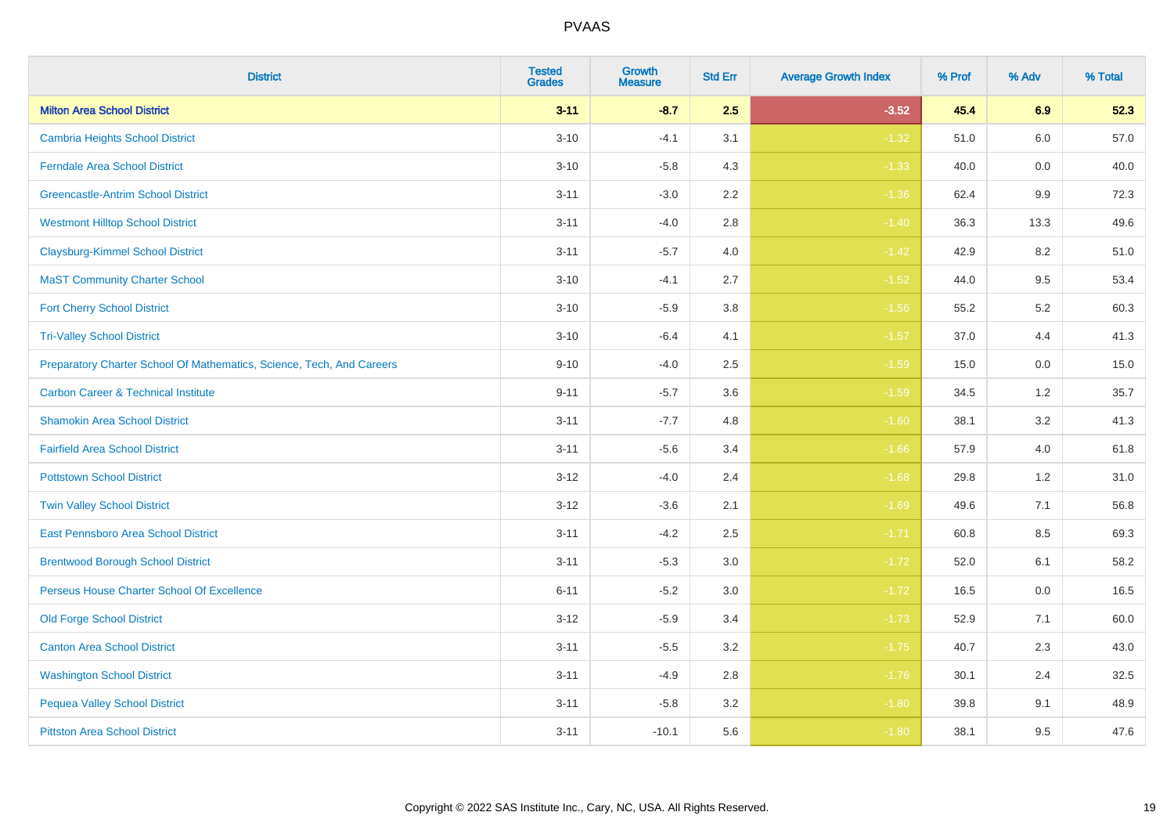| <b>District</b>                                                       | <b>Tested</b><br><b>Grades</b> | <b>Growth</b><br><b>Measure</b> | <b>Std Err</b> | <b>Average Growth Index</b> | % Prof | % Adv   | % Total |
|-----------------------------------------------------------------------|--------------------------------|---------------------------------|----------------|-----------------------------|--------|---------|---------|
| <b>Milton Area School District</b>                                    | $3 - 11$                       | $-8.7$                          | 2.5            | $-3.52$                     | 45.4   | 6.9     | 52.3    |
| <b>Cambria Heights School District</b>                                | $3 - 10$                       | $-4.1$                          | 3.1            | $-1.32$                     | 51.0   | $6.0\,$ | 57.0    |
| <b>Ferndale Area School District</b>                                  | $3 - 10$                       | $-5.8$                          | 4.3            | $-1.33$                     | 40.0   | 0.0     | 40.0    |
| <b>Greencastle-Antrim School District</b>                             | $3 - 11$                       | $-3.0$                          | 2.2            | $-1.36$                     | 62.4   | $9.9\,$ | 72.3    |
| <b>Westmont Hilltop School District</b>                               | $3 - 11$                       | $-4.0$                          | 2.8            | $-1.40$                     | 36.3   | 13.3    | 49.6    |
| <b>Claysburg-Kimmel School District</b>                               | $3 - 11$                       | $-5.7$                          | 4.0            | $-1.42$                     | 42.9   | 8.2     | 51.0    |
| <b>MaST Community Charter School</b>                                  | $3 - 10$                       | $-4.1$                          | 2.7            | $-1.52$                     | 44.0   | 9.5     | 53.4    |
| <b>Fort Cherry School District</b>                                    | $3 - 10$                       | $-5.9$                          | 3.8            | $-1.56$                     | 55.2   | 5.2     | 60.3    |
| <b>Tri-Valley School District</b>                                     | $3 - 10$                       | $-6.4$                          | 4.1            | $-1.57$                     | 37.0   | 4.4     | 41.3    |
| Preparatory Charter School Of Mathematics, Science, Tech, And Careers | $9 - 10$                       | $-4.0$                          | 2.5            | $-1.59$                     | 15.0   | 0.0     | 15.0    |
| <b>Carbon Career &amp; Technical Institute</b>                        | $9 - 11$                       | $-5.7$                          | 3.6            | $-1.59$                     | 34.5   | 1.2     | 35.7    |
| <b>Shamokin Area School District</b>                                  | $3 - 11$                       | $-7.7$                          | 4.8            | $-1.60$                     | 38.1   | 3.2     | 41.3    |
| <b>Fairfield Area School District</b>                                 | $3 - 11$                       | $-5.6$                          | 3.4            | $-1.66$                     | 57.9   | 4.0     | 61.8    |
| <b>Pottstown School District</b>                                      | $3 - 12$                       | $-4.0$                          | 2.4            | $-1.68$                     | 29.8   | 1.2     | 31.0    |
| <b>Twin Valley School District</b>                                    | $3-12$                         | $-3.6$                          | 2.1            | $-1.69$                     | 49.6   | 7.1     | 56.8    |
| East Pennsboro Area School District                                   | $3 - 11$                       | $-4.2$                          | 2.5            | $-1.71$                     | 60.8   | 8.5     | 69.3    |
| <b>Brentwood Borough School District</b>                              | $3 - 11$                       | $-5.3$                          | 3.0            | $-1.72$                     | 52.0   | 6.1     | 58.2    |
| Perseus House Charter School Of Excellence                            | $6 - 11$                       | $-5.2$                          | 3.0            | $-1.72$                     | 16.5   | 0.0     | 16.5    |
| <b>Old Forge School District</b>                                      | $3-12$                         | $-5.9$                          | 3.4            | $-1.73$                     | 52.9   | 7.1     | 60.0    |
| <b>Canton Area School District</b>                                    | $3 - 11$                       | $-5.5$                          | 3.2            | $-1.75$                     | 40.7   | 2.3     | 43.0    |
| <b>Washington School District</b>                                     | $3 - 11$                       | $-4.9$                          | 2.8            | $-1.76$                     | 30.1   | 2.4     | 32.5    |
| <b>Pequea Valley School District</b>                                  | $3 - 11$                       | $-5.8$                          | 3.2            | $-1.80$                     | 39.8   | 9.1     | 48.9    |
| <b>Pittston Area School District</b>                                  | $3 - 11$                       | $-10.1$                         | 5.6            | $-1.80$                     | 38.1   | 9.5     | 47.6    |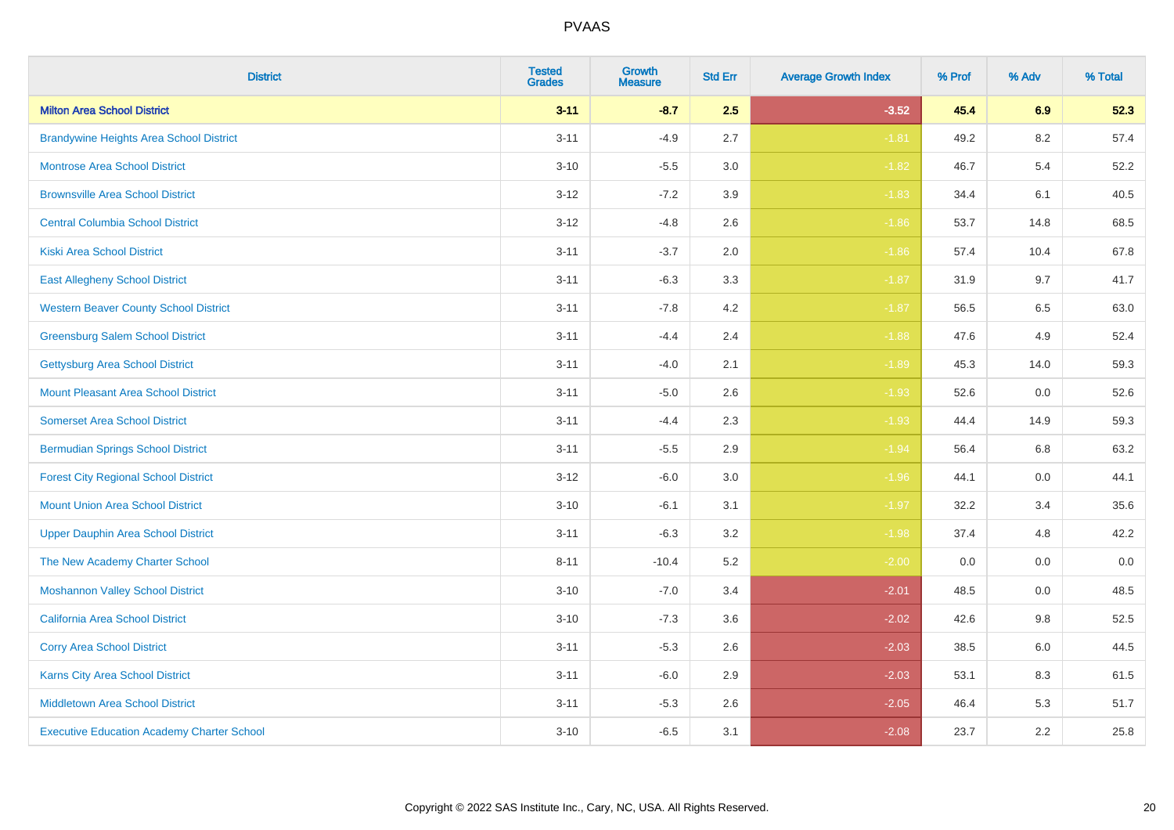| <b>District</b>                                   | <b>Tested</b><br><b>Grades</b> | Growth<br><b>Measure</b> | <b>Std Err</b> | <b>Average Growth Index</b> | % Prof | % Adv | % Total |
|---------------------------------------------------|--------------------------------|--------------------------|----------------|-----------------------------|--------|-------|---------|
| <b>Milton Area School District</b>                | $3 - 11$                       | $-8.7$                   | 2.5            | $-3.52$                     | 45.4   | 6.9   | 52.3    |
| <b>Brandywine Heights Area School District</b>    | $3 - 11$                       | $-4.9$                   | 2.7            | $-1.81$                     | 49.2   | 8.2   | 57.4    |
| <b>Montrose Area School District</b>              | $3 - 10$                       | $-5.5$                   | 3.0            | $-1.82$                     | 46.7   | 5.4   | 52.2    |
| <b>Brownsville Area School District</b>           | $3 - 12$                       | $-7.2$                   | 3.9            | $-1.83$                     | 34.4   | 6.1   | 40.5    |
| <b>Central Columbia School District</b>           | $3 - 12$                       | $-4.8$                   | 2.6            | $-1.86$                     | 53.7   | 14.8  | 68.5    |
| <b>Kiski Area School District</b>                 | $3 - 11$                       | $-3.7$                   | 2.0            | $-1.86$                     | 57.4   | 10.4  | 67.8    |
| <b>East Allegheny School District</b>             | $3 - 11$                       | $-6.3$                   | 3.3            | $-1.87$                     | 31.9   | 9.7   | 41.7    |
| <b>Western Beaver County School District</b>      | $3 - 11$                       | $-7.8$                   | 4.2            | $-1.87$                     | 56.5   | 6.5   | 63.0    |
| <b>Greensburg Salem School District</b>           | $3 - 11$                       | $-4.4$                   | 2.4            | $-1.88$                     | 47.6   | 4.9   | 52.4    |
| <b>Gettysburg Area School District</b>            | $3 - 11$                       | $-4.0$                   | 2.1            | $-1.89$                     | 45.3   | 14.0  | 59.3    |
| <b>Mount Pleasant Area School District</b>        | $3 - 11$                       | $-5.0$                   | 2.6            | $-1.93$                     | 52.6   | 0.0   | 52.6    |
| <b>Somerset Area School District</b>              | $3 - 11$                       | $-4.4$                   | 2.3            | $-1.93$                     | 44.4   | 14.9  | 59.3    |
| <b>Bermudian Springs School District</b>          | $3 - 11$                       | $-5.5$                   | 2.9            | $-1.94$                     | 56.4   | 6.8   | 63.2    |
| <b>Forest City Regional School District</b>       | $3 - 12$                       | $-6.0$                   | 3.0            | $-1.96$                     | 44.1   | 0.0   | 44.1    |
| <b>Mount Union Area School District</b>           | $3 - 10$                       | $-6.1$                   | 3.1            | $-1.97$                     | 32.2   | 3.4   | 35.6    |
| <b>Upper Dauphin Area School District</b>         | $3 - 11$                       | $-6.3$                   | 3.2            | $-1.98$                     | 37.4   | 4.8   | 42.2    |
| The New Academy Charter School                    | $8 - 11$                       | $-10.4$                  | 5.2            | $-2.00$                     | 0.0    | 0.0   | $0.0\,$ |
| <b>Moshannon Valley School District</b>           | $3 - 10$                       | $-7.0$                   | 3.4            | $-2.01$                     | 48.5   | 0.0   | 48.5    |
| <b>California Area School District</b>            | $3 - 10$                       | $-7.3$                   | 3.6            | $-2.02$                     | 42.6   | 9.8   | 52.5    |
| <b>Corry Area School District</b>                 | $3 - 11$                       | $-5.3$                   | 2.6            | $-2.03$                     | 38.5   | 6.0   | 44.5    |
| <b>Karns City Area School District</b>            | $3 - 11$                       | $-6.0$                   | 2.9            | $-2.03$                     | 53.1   | 8.3   | 61.5    |
| <b>Middletown Area School District</b>            | $3 - 11$                       | $-5.3$                   | 2.6            | $-2.05$                     | 46.4   | 5.3   | 51.7    |
| <b>Executive Education Academy Charter School</b> | $3 - 10$                       | $-6.5$                   | 3.1            | $-2.08$                     | 23.7   | 2.2   | 25.8    |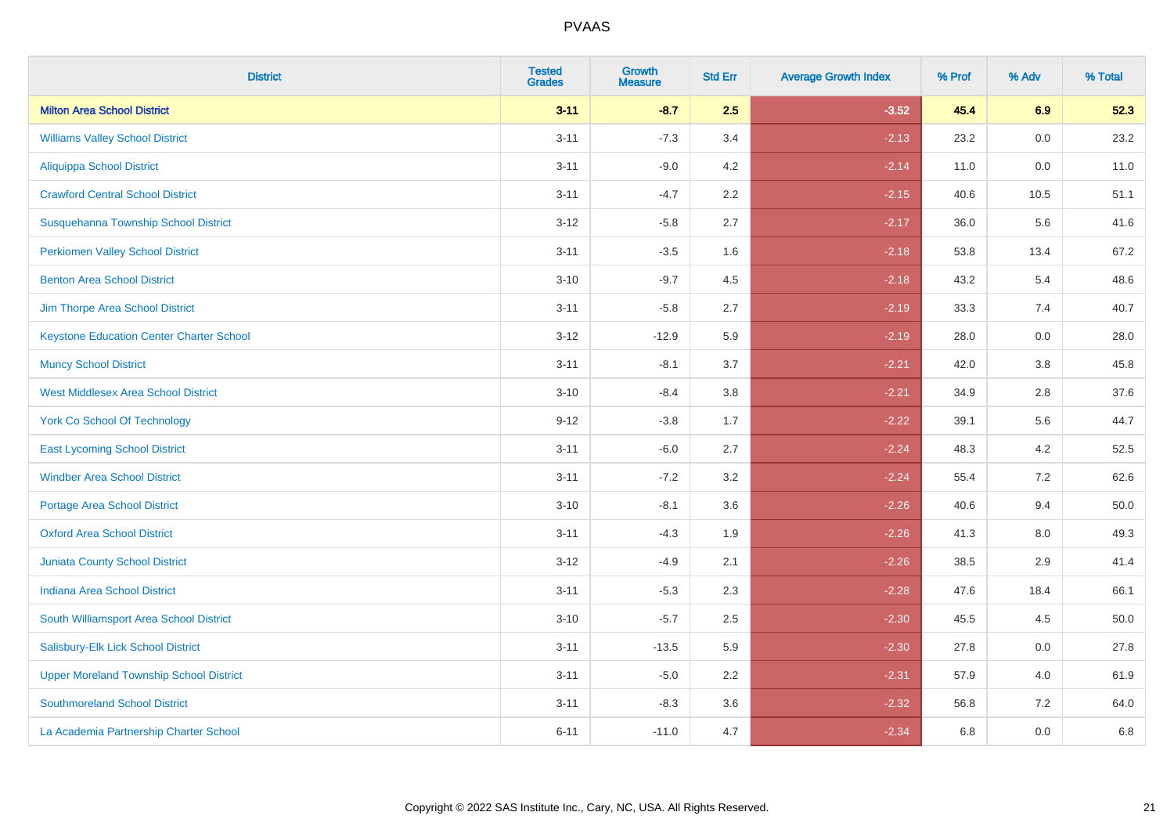| <b>District</b>                                 | <b>Tested</b><br><b>Grades</b> | <b>Growth</b><br><b>Measure</b> | <b>Std Err</b> | <b>Average Growth Index</b> | % Prof | % Adv | % Total |
|-------------------------------------------------|--------------------------------|---------------------------------|----------------|-----------------------------|--------|-------|---------|
| <b>Milton Area School District</b>              | $3 - 11$                       | $-8.7$                          | 2.5            | $-3.52$                     | 45.4   | 6.9   | 52.3    |
| <b>Williams Valley School District</b>          | $3 - 11$                       | $-7.3$                          | 3.4            | $-2.13$                     | 23.2   | 0.0   | 23.2    |
| Aliquippa School District                       | $3 - 11$                       | $-9.0$                          | 4.2            | $-2.14$                     | 11.0   | 0.0   | 11.0    |
| <b>Crawford Central School District</b>         | $3 - 11$                       | $-4.7$                          | 2.2            | $-2.15$                     | 40.6   | 10.5  | 51.1    |
| Susquehanna Township School District            | $3 - 12$                       | $-5.8$                          | 2.7            | $-2.17$                     | 36.0   | 5.6   | 41.6    |
| <b>Perkiomen Valley School District</b>         | $3 - 11$                       | $-3.5$                          | 1.6            | $-2.18$                     | 53.8   | 13.4  | 67.2    |
| <b>Benton Area School District</b>              | $3 - 10$                       | $-9.7$                          | 4.5            | $-2.18$                     | 43.2   | 5.4   | 48.6    |
| Jim Thorpe Area School District                 | $3 - 11$                       | $-5.8$                          | 2.7            | $-2.19$                     | 33.3   | 7.4   | 40.7    |
| <b>Keystone Education Center Charter School</b> | $3 - 12$                       | $-12.9$                         | 5.9            | $-2.19$                     | 28.0   | 0.0   | 28.0    |
| <b>Muncy School District</b>                    | $3 - 11$                       | $-8.1$                          | 3.7            | $-2.21$                     | 42.0   | 3.8   | 45.8    |
| <b>West Middlesex Area School District</b>      | $3 - 10$                       | $-8.4$                          | 3.8            | $-2.21$                     | 34.9   | 2.8   | 37.6    |
| <b>York Co School Of Technology</b>             | $9 - 12$                       | $-3.8$                          | 1.7            | $-2.22$                     | 39.1   | 5.6   | 44.7    |
| <b>East Lycoming School District</b>            | $3 - 11$                       | $-6.0$                          | 2.7            | $-2.24$                     | 48.3   | 4.2   | 52.5    |
| <b>Windber Area School District</b>             | $3 - 11$                       | $-7.2$                          | 3.2            | $-2.24$                     | 55.4   | 7.2   | 62.6    |
| <b>Portage Area School District</b>             | $3 - 10$                       | $-8.1$                          | 3.6            | $-2.26$                     | 40.6   | 9.4   | 50.0    |
| <b>Oxford Area School District</b>              | $3 - 11$                       | $-4.3$                          | 1.9            | $-2.26$                     | 41.3   | 8.0   | 49.3    |
| <b>Juniata County School District</b>           | $3 - 12$                       | $-4.9$                          | 2.1            | $-2.26$                     | 38.5   | 2.9   | 41.4    |
| <b>Indiana Area School District</b>             | $3 - 11$                       | $-5.3$                          | 2.3            | $-2.28$                     | 47.6   | 18.4  | 66.1    |
| South Williamsport Area School District         | $3 - 10$                       | $-5.7$                          | 2.5            | $-2.30$                     | 45.5   | 4.5   | 50.0    |
| Salisbury-Elk Lick School District              | $3 - 11$                       | $-13.5$                         | 5.9            | $-2.30$                     | 27.8   | 0.0   | 27.8    |
| <b>Upper Moreland Township School District</b>  | $3 - 11$                       | $-5.0$                          | 2.2            | $-2.31$                     | 57.9   | 4.0   | 61.9    |
| <b>Southmoreland School District</b>            | $3 - 11$                       | $-8.3$                          | 3.6            | $-2.32$                     | 56.8   | 7.2   | 64.0    |
| La Academia Partnership Charter School          | $6 - 11$                       | $-11.0$                         | 4.7            | $-2.34$                     | 6.8    | 0.0   | 6.8     |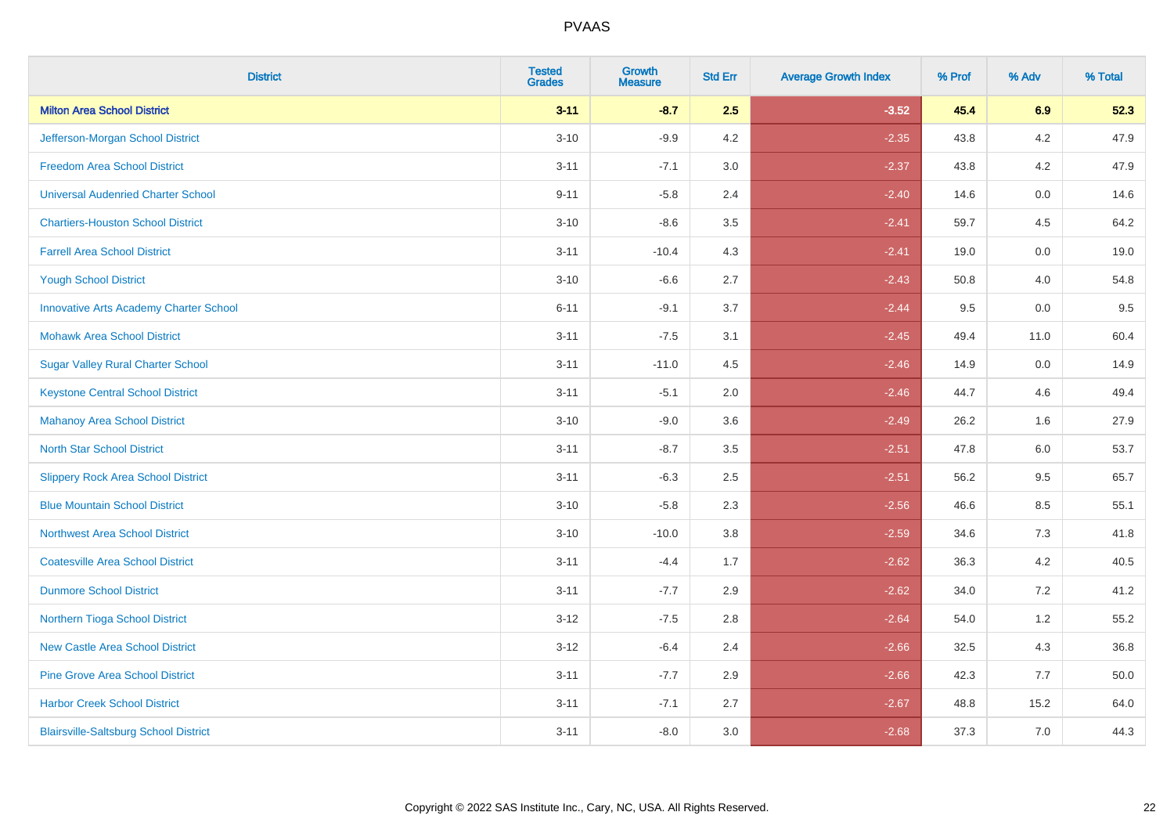| <b>District</b>                               | <b>Tested</b><br><b>Grades</b> | <b>Growth</b><br><b>Measure</b> | <b>Std Err</b> | <b>Average Growth Index</b> | % Prof | % Adv   | % Total |
|-----------------------------------------------|--------------------------------|---------------------------------|----------------|-----------------------------|--------|---------|---------|
| <b>Milton Area School District</b>            | $3 - 11$                       | $-8.7$                          | 2.5            | $-3.52$                     | 45.4   | 6.9     | 52.3    |
| Jefferson-Morgan School District              | $3 - 10$                       | $-9.9$                          | 4.2            | $-2.35$                     | 43.8   | $4.2\,$ | 47.9    |
| <b>Freedom Area School District</b>           | $3 - 11$                       | $-7.1$                          | 3.0            | $-2.37$                     | 43.8   | 4.2     | 47.9    |
| <b>Universal Audenried Charter School</b>     | $9 - 11$                       | $-5.8$                          | 2.4            | $-2.40$                     | 14.6   | 0.0     | 14.6    |
| <b>Chartiers-Houston School District</b>      | $3 - 10$                       | $-8.6$                          | 3.5            | $-2.41$                     | 59.7   | 4.5     | 64.2    |
| <b>Farrell Area School District</b>           | $3 - 11$                       | $-10.4$                         | 4.3            | $-2.41$                     | 19.0   | 0.0     | 19.0    |
| <b>Yough School District</b>                  | $3 - 10$                       | $-6.6$                          | 2.7            | $-2.43$                     | 50.8   | 4.0     | 54.8    |
| <b>Innovative Arts Academy Charter School</b> | $6 - 11$                       | $-9.1$                          | 3.7            | $-2.44$                     | 9.5    | 0.0     | 9.5     |
| <b>Mohawk Area School District</b>            | $3 - 11$                       | $-7.5$                          | 3.1            | $-2.45$                     | 49.4   | 11.0    | 60.4    |
| <b>Sugar Valley Rural Charter School</b>      | $3 - 11$                       | $-11.0$                         | 4.5            | $-2.46$                     | 14.9   | 0.0     | 14.9    |
| <b>Keystone Central School District</b>       | $3 - 11$                       | $-5.1$                          | 2.0            | $-2.46$                     | 44.7   | 4.6     | 49.4    |
| <b>Mahanoy Area School District</b>           | $3 - 10$                       | $-9.0$                          | 3.6            | $-2.49$                     | 26.2   | 1.6     | 27.9    |
| <b>North Star School District</b>             | $3 - 11$                       | $-8.7$                          | 3.5            | $-2.51$                     | 47.8   | 6.0     | 53.7    |
| <b>Slippery Rock Area School District</b>     | $3 - 11$                       | $-6.3$                          | 2.5            | $-2.51$                     | 56.2   | 9.5     | 65.7    |
| <b>Blue Mountain School District</b>          | $3 - 10$                       | $-5.8$                          | 2.3            | $-2.56$                     | 46.6   | 8.5     | 55.1    |
| <b>Northwest Area School District</b>         | $3 - 10$                       | $-10.0$                         | 3.8            | $-2.59$                     | 34.6   | 7.3     | 41.8    |
| <b>Coatesville Area School District</b>       | $3 - 11$                       | $-4.4$                          | 1.7            | $-2.62$                     | 36.3   | 4.2     | 40.5    |
| <b>Dunmore School District</b>                | $3 - 11$                       | $-7.7$                          | 2.9            | $-2.62$                     | 34.0   | 7.2     | 41.2    |
| Northern Tioga School District                | $3 - 12$                       | $-7.5$                          | 2.8            | $-2.64$                     | 54.0   | 1.2     | 55.2    |
| <b>New Castle Area School District</b>        | $3 - 12$                       | $-6.4$                          | 2.4            | $-2.66$                     | 32.5   | 4.3     | 36.8    |
| <b>Pine Grove Area School District</b>        | $3 - 11$                       | $-7.7$                          | 2.9            | $-2.66$                     | 42.3   | 7.7     | 50.0    |
| <b>Harbor Creek School District</b>           | $3 - 11$                       | $-7.1$                          | 2.7            | $-2.67$                     | 48.8   | 15.2    | 64.0    |
| <b>Blairsville-Saltsburg School District</b>  | $3 - 11$                       | $-8.0$                          | 3.0            | $-2.68$                     | 37.3   | 7.0     | 44.3    |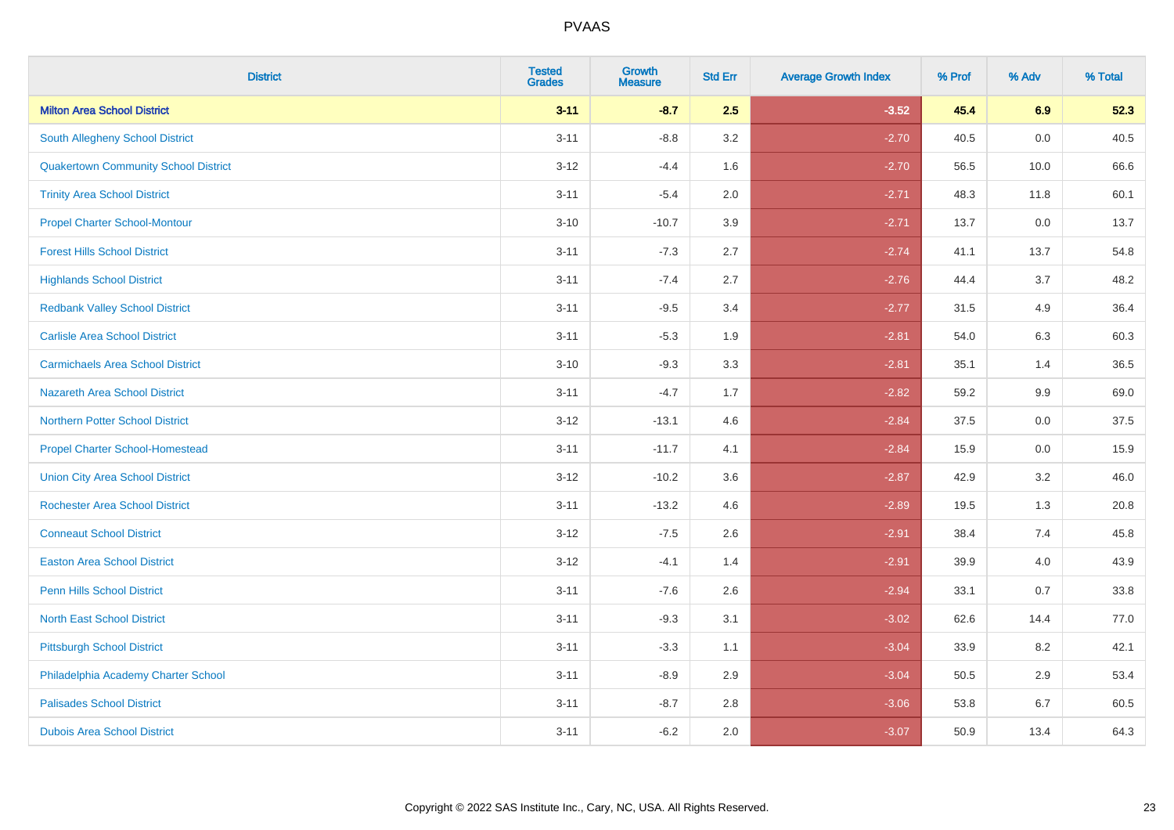| <b>District</b>                             | <b>Tested</b><br><b>Grades</b> | <b>Growth</b><br><b>Measure</b> | <b>Std Err</b> | <b>Average Growth Index</b> | % Prof | % Adv | % Total |
|---------------------------------------------|--------------------------------|---------------------------------|----------------|-----------------------------|--------|-------|---------|
| <b>Milton Area School District</b>          | $3 - 11$                       | $-8.7$                          | 2.5            | $-3.52$                     | 45.4   | 6.9   | 52.3    |
| <b>South Allegheny School District</b>      | $3 - 11$                       | $-8.8$                          | 3.2            | $-2.70$                     | 40.5   | 0.0   | 40.5    |
| <b>Quakertown Community School District</b> | $3 - 12$                       | $-4.4$                          | 1.6            | $-2.70$                     | 56.5   | 10.0  | 66.6    |
| <b>Trinity Area School District</b>         | $3 - 11$                       | $-5.4$                          | 2.0            | $-2.71$                     | 48.3   | 11.8  | 60.1    |
| <b>Propel Charter School-Montour</b>        | $3 - 10$                       | $-10.7$                         | 3.9            | $-2.71$                     | 13.7   | 0.0   | 13.7    |
| <b>Forest Hills School District</b>         | $3 - 11$                       | $-7.3$                          | 2.7            | $-2.74$                     | 41.1   | 13.7  | 54.8    |
| <b>Highlands School District</b>            | $3 - 11$                       | $-7.4$                          | 2.7            | $-2.76$                     | 44.4   | 3.7   | 48.2    |
| <b>Redbank Valley School District</b>       | $3 - 11$                       | $-9.5$                          | 3.4            | $-2.77$                     | 31.5   | 4.9   | 36.4    |
| <b>Carlisle Area School District</b>        | $3 - 11$                       | $-5.3$                          | 1.9            | $-2.81$                     | 54.0   | 6.3   | 60.3    |
| <b>Carmichaels Area School District</b>     | $3 - 10$                       | $-9.3$                          | 3.3            | $-2.81$                     | 35.1   | 1.4   | 36.5    |
| <b>Nazareth Area School District</b>        | $3 - 11$                       | $-4.7$                          | 1.7            | $-2.82$                     | 59.2   | 9.9   | 69.0    |
| <b>Northern Potter School District</b>      | $3-12$                         | $-13.1$                         | 4.6            | $-2.84$                     | 37.5   | 0.0   | 37.5    |
| <b>Propel Charter School-Homestead</b>      | $3 - 11$                       | $-11.7$                         | 4.1            | $-2.84$                     | 15.9   | 0.0   | 15.9    |
| <b>Union City Area School District</b>      | $3 - 12$                       | $-10.2$                         | 3.6            | $-2.87$                     | 42.9   | 3.2   | 46.0    |
| <b>Rochester Area School District</b>       | $3 - 11$                       | $-13.2$                         | 4.6            | $-2.89$                     | 19.5   | 1.3   | 20.8    |
| <b>Conneaut School District</b>             | $3 - 12$                       | $-7.5$                          | 2.6            | $-2.91$                     | 38.4   | 7.4   | 45.8    |
| <b>Easton Area School District</b>          | $3 - 12$                       | $-4.1$                          | 1.4            | $-2.91$                     | 39.9   | 4.0   | 43.9    |
| <b>Penn Hills School District</b>           | $3 - 11$                       | $-7.6$                          | 2.6            | $-2.94$                     | 33.1   | 0.7   | 33.8    |
| <b>North East School District</b>           | $3 - 11$                       | $-9.3$                          | 3.1            | $-3.02$                     | 62.6   | 14.4  | 77.0    |
| <b>Pittsburgh School District</b>           | $3 - 11$                       | $-3.3$                          | 1.1            | $-3.04$                     | 33.9   | 8.2   | 42.1    |
| Philadelphia Academy Charter School         | $3 - 11$                       | $-8.9$                          | 2.9            | $-3.04$                     | 50.5   | 2.9   | 53.4    |
| <b>Palisades School District</b>            | $3 - 11$                       | $-8.7$                          | 2.8            | $-3.06$                     | 53.8   | 6.7   | 60.5    |
| <b>Dubois Area School District</b>          | $3 - 11$                       | $-6.2$                          | 2.0            | $-3.07$                     | 50.9   | 13.4  | 64.3    |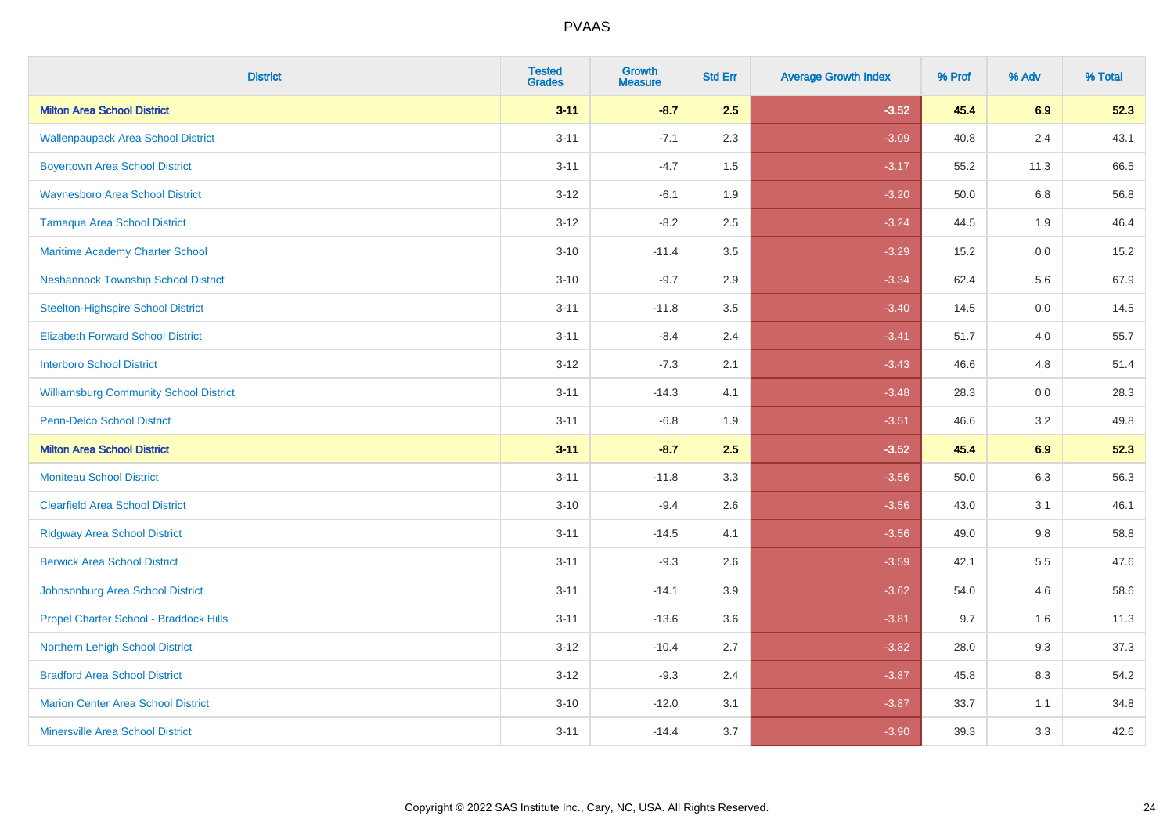| <b>District</b>                               | <b>Tested</b><br><b>Grades</b> | <b>Growth</b><br><b>Measure</b> | <b>Std Err</b> | <b>Average Growth Index</b> | % Prof | % Adv   | % Total |
|-----------------------------------------------|--------------------------------|---------------------------------|----------------|-----------------------------|--------|---------|---------|
| <b>Milton Area School District</b>            | $3 - 11$                       | $-8.7$                          | 2.5            | $-3.52$                     | 45.4   | 6.9     | 52.3    |
| <b>Wallenpaupack Area School District</b>     | $3 - 11$                       | $-7.1$                          | 2.3            | $-3.09$                     | 40.8   | $2.4\,$ | 43.1    |
| <b>Boyertown Area School District</b>         | $3 - 11$                       | $-4.7$                          | 1.5            | $-3.17$                     | 55.2   | 11.3    | 66.5    |
| <b>Waynesboro Area School District</b>        | $3 - 12$                       | $-6.1$                          | 1.9            | $-3.20$                     | 50.0   | 6.8     | 56.8    |
| Tamaqua Area School District                  | $3 - 12$                       | $-8.2$                          | 2.5            | $-3.24$                     | 44.5   | 1.9     | 46.4    |
| Maritime Academy Charter School               | $3 - 10$                       | $-11.4$                         | 3.5            | $-3.29$                     | 15.2   | 0.0     | 15.2    |
| <b>Neshannock Township School District</b>    | $3 - 10$                       | $-9.7$                          | 2.9            | $-3.34$                     | 62.4   | 5.6     | 67.9    |
| <b>Steelton-Highspire School District</b>     | $3 - 11$                       | $-11.8$                         | 3.5            | $-3.40$                     | 14.5   | 0.0     | 14.5    |
| <b>Elizabeth Forward School District</b>      | $3 - 11$                       | $-8.4$                          | 2.4            | $-3.41$                     | 51.7   | 4.0     | 55.7    |
| <b>Interboro School District</b>              | $3 - 12$                       | $-7.3$                          | 2.1            | $-3.43$                     | 46.6   | 4.8     | 51.4    |
| <b>Williamsburg Community School District</b> | $3 - 11$                       | $-14.3$                         | 4.1            | $-3.48$                     | 28.3   | 0.0     | 28.3    |
| Penn-Delco School District                    | $3 - 11$                       | $-6.8$                          | 1.9            | $-3.51$                     | 46.6   | 3.2     | 49.8    |
| <b>Milton Area School District</b>            | $3 - 11$                       | $-8.7$                          | 2.5            | $-3.52$                     | 45.4   | 6.9     | 52.3    |
| <b>Moniteau School District</b>               | $3 - 11$                       | $-11.8$                         | 3.3            | $-3.56$                     | 50.0   | 6.3     | 56.3    |
| <b>Clearfield Area School District</b>        | $3 - 10$                       | $-9.4$                          | 2.6            | $-3.56$                     | 43.0   | 3.1     | 46.1    |
| <b>Ridgway Area School District</b>           | $3 - 11$                       | $-14.5$                         | 4.1            | $-3.56$                     | 49.0   | $9.8\,$ | 58.8    |
| <b>Berwick Area School District</b>           | $3 - 11$                       | $-9.3$                          | 2.6            | $-3.59$                     | 42.1   | 5.5     | 47.6    |
| Johnsonburg Area School District              | $3 - 11$                       | $-14.1$                         | 3.9            | $-3.62$                     | 54.0   | 4.6     | 58.6    |
| Propel Charter School - Braddock Hills        | $3 - 11$                       | $-13.6$                         | 3.6            | $-3.81$                     | 9.7    | 1.6     | 11.3    |
| Northern Lehigh School District               | $3-12$                         | $-10.4$                         | 2.7            | $-3.82$                     | 28.0   | 9.3     | 37.3    |
| <b>Bradford Area School District</b>          | $3 - 12$                       | $-9.3$                          | 2.4            | $-3.87$                     | 45.8   | 8.3     | 54.2    |
| <b>Marion Center Area School District</b>     | $3 - 10$                       | $-12.0$                         | 3.1            | $-3.87$                     | 33.7   | 1.1     | 34.8    |
| <b>Minersville Area School District</b>       | $3 - 11$                       | $-14.4$                         | 3.7            | $-3.90$                     | 39.3   | 3.3     | 42.6    |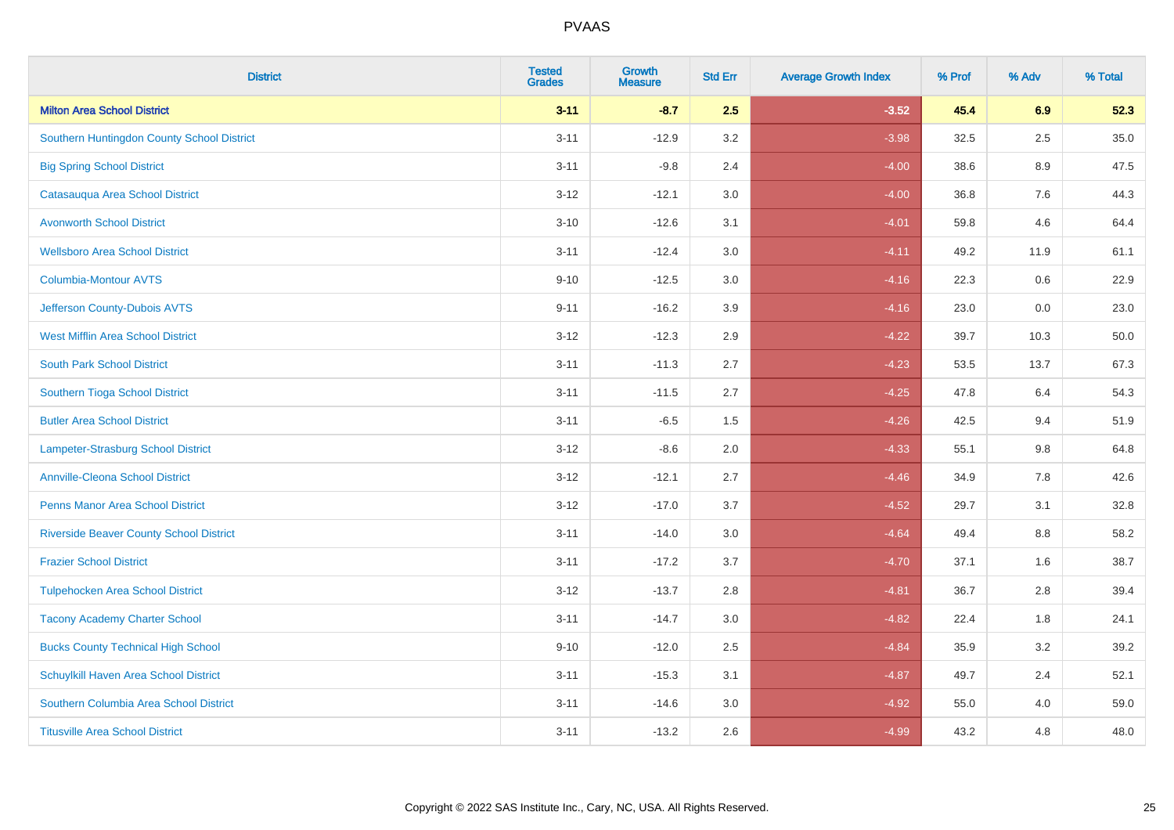| <b>District</b>                                | <b>Tested</b><br><b>Grades</b> | <b>Growth</b><br><b>Measure</b> | <b>Std Err</b> | <b>Average Growth Index</b> | % Prof | % Adv   | % Total |
|------------------------------------------------|--------------------------------|---------------------------------|----------------|-----------------------------|--------|---------|---------|
| <b>Milton Area School District</b>             | $3 - 11$                       | $-8.7$                          | 2.5            | $-3.52$                     | 45.4   | 6.9     | 52.3    |
| Southern Huntingdon County School District     | $3 - 11$                       | $-12.9$                         | 3.2            | $-3.98$                     | 32.5   | 2.5     | 35.0    |
| <b>Big Spring School District</b>              | $3 - 11$                       | $-9.8$                          | 2.4            | $-4.00$                     | 38.6   | 8.9     | 47.5    |
| Catasauqua Area School District                | $3 - 12$                       | $-12.1$                         | 3.0            | $-4.00$                     | 36.8   | $7.6\,$ | 44.3    |
| <b>Avonworth School District</b>               | $3 - 10$                       | $-12.6$                         | 3.1            | $-4.01$                     | 59.8   | 4.6     | 64.4    |
| <b>Wellsboro Area School District</b>          | $3 - 11$                       | $-12.4$                         | 3.0            | $-4.11$                     | 49.2   | 11.9    | 61.1    |
| <b>Columbia-Montour AVTS</b>                   | $9 - 10$                       | $-12.5$                         | 3.0            | $-4.16$                     | 22.3   | 0.6     | 22.9    |
| Jefferson County-Dubois AVTS                   | $9 - 11$                       | $-16.2$                         | 3.9            | $-4.16$                     | 23.0   | 0.0     | 23.0    |
| <b>West Mifflin Area School District</b>       | $3 - 12$                       | $-12.3$                         | 2.9            | $-4.22$                     | 39.7   | 10.3    | 50.0    |
| <b>South Park School District</b>              | $3 - 11$                       | $-11.3$                         | 2.7            | $-4.23$                     | 53.5   | 13.7    | 67.3    |
| Southern Tioga School District                 | $3 - 11$                       | $-11.5$                         | 2.7            | $-4.25$                     | 47.8   | 6.4     | 54.3    |
| <b>Butler Area School District</b>             | $3 - 11$                       | $-6.5$                          | 1.5            | $-4.26$                     | 42.5   | 9.4     | 51.9    |
| <b>Lampeter-Strasburg School District</b>      | $3 - 12$                       | $-8.6$                          | 2.0            | $-4.33$                     | 55.1   | 9.8     | 64.8    |
| <b>Annville-Cleona School District</b>         | $3 - 12$                       | $-12.1$                         | 2.7            | $-4.46$                     | 34.9   | $7.8\,$ | 42.6    |
| <b>Penns Manor Area School District</b>        | $3 - 12$                       | $-17.0$                         | 3.7            | $-4.52$                     | 29.7   | 3.1     | 32.8    |
| <b>Riverside Beaver County School District</b> | $3 - 11$                       | $-14.0$                         | 3.0            | $-4.64$                     | 49.4   | 8.8     | 58.2    |
| <b>Frazier School District</b>                 | $3 - 11$                       | $-17.2$                         | 3.7            | $-4.70$                     | 37.1   | 1.6     | 38.7    |
| <b>Tulpehocken Area School District</b>        | $3 - 12$                       | $-13.7$                         | 2.8            | $-4.81$                     | 36.7   | 2.8     | 39.4    |
| <b>Tacony Academy Charter School</b>           | $3 - 11$                       | $-14.7$                         | 3.0            | $-4.82$                     | 22.4   | 1.8     | 24.1    |
| <b>Bucks County Technical High School</b>      | $9 - 10$                       | $-12.0$                         | 2.5            | $-4.84$                     | 35.9   | 3.2     | 39.2    |
| Schuylkill Haven Area School District          | $3 - 11$                       | $-15.3$                         | 3.1            | $-4.87$                     | 49.7   | 2.4     | 52.1    |
| Southern Columbia Area School District         | $3 - 11$                       | $-14.6$                         | 3.0            | $-4.92$                     | 55.0   | 4.0     | 59.0    |
| <b>Titusville Area School District</b>         | $3 - 11$                       | $-13.2$                         | 2.6            | $-4.99$                     | 43.2   | 4.8     | 48.0    |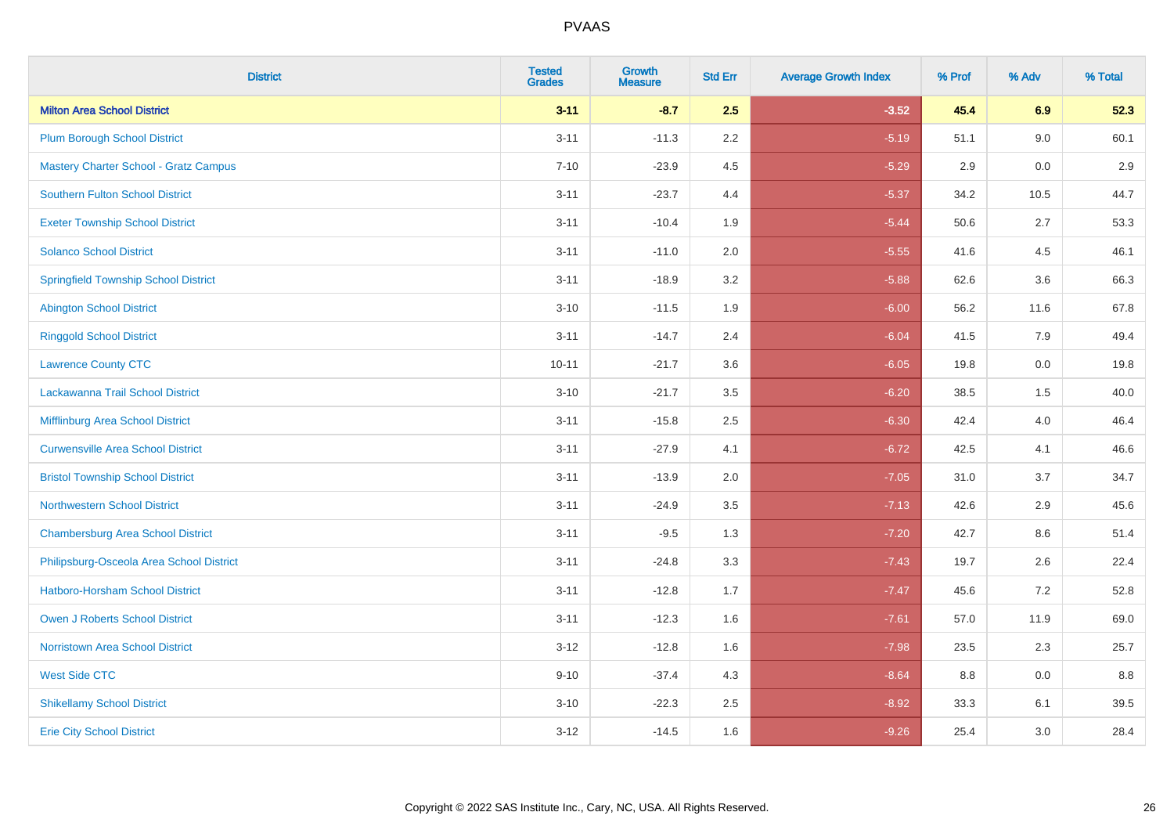| <b>District</b>                              | <b>Tested</b><br><b>Grades</b> | <b>Growth</b><br><b>Measure</b> | <b>Std Err</b> | <b>Average Growth Index</b> | % Prof | % Adv | % Total |
|----------------------------------------------|--------------------------------|---------------------------------|----------------|-----------------------------|--------|-------|---------|
| <b>Milton Area School District</b>           | $3 - 11$                       | $-8.7$                          | 2.5            | $-3.52$                     | 45.4   | 6.9   | 52.3    |
| <b>Plum Borough School District</b>          | $3 - 11$                       | $-11.3$                         | 2.2            | $-5.19$                     | 51.1   | 9.0   | 60.1    |
| <b>Mastery Charter School - Gratz Campus</b> | $7 - 10$                       | $-23.9$                         | 4.5            | $-5.29$                     | 2.9    | 0.0   | 2.9     |
| Southern Fulton School District              | $3 - 11$                       | $-23.7$                         | 4.4            | $-5.37$                     | 34.2   | 10.5  | 44.7    |
| <b>Exeter Township School District</b>       | $3 - 11$                       | $-10.4$                         | 1.9            | $-5.44$                     | 50.6   | 2.7   | 53.3    |
| <b>Solanco School District</b>               | $3 - 11$                       | $-11.0$                         | 2.0            | $-5.55$                     | 41.6   | 4.5   | 46.1    |
| <b>Springfield Township School District</b>  | $3 - 11$                       | $-18.9$                         | 3.2            | $-5.88$                     | 62.6   | 3.6   | 66.3    |
| <b>Abington School District</b>              | $3 - 10$                       | $-11.5$                         | 1.9            | $-6.00$                     | 56.2   | 11.6  | 67.8    |
| <b>Ringgold School District</b>              | $3 - 11$                       | $-14.7$                         | 2.4            | $-6.04$                     | 41.5   | 7.9   | 49.4    |
| <b>Lawrence County CTC</b>                   | $10 - 11$                      | $-21.7$                         | 3.6            | $-6.05$                     | 19.8   | 0.0   | 19.8    |
| Lackawanna Trail School District             | $3 - 10$                       | $-21.7$                         | 3.5            | $-6.20$                     | 38.5   | 1.5   | 40.0    |
| Mifflinburg Area School District             | $3 - 11$                       | $-15.8$                         | 2.5            | $-6.30$                     | 42.4   | 4.0   | 46.4    |
| <b>Curwensville Area School District</b>     | $3 - 11$                       | $-27.9$                         | 4.1            | $-6.72$                     | 42.5   | 4.1   | 46.6    |
| <b>Bristol Township School District</b>      | $3 - 11$                       | $-13.9$                         | 2.0            | $-7.05$                     | 31.0   | 3.7   | 34.7    |
| <b>Northwestern School District</b>          | $3 - 11$                       | $-24.9$                         | 3.5            | $-7.13$                     | 42.6   | 2.9   | 45.6    |
| <b>Chambersburg Area School District</b>     | $3 - 11$                       | $-9.5$                          | 1.3            | $-7.20$                     | 42.7   | 8.6   | 51.4    |
| Philipsburg-Osceola Area School District     | $3 - 11$                       | $-24.8$                         | 3.3            | $-7.43$                     | 19.7   | 2.6   | 22.4    |
| Hatboro-Horsham School District              | $3 - 11$                       | $-12.8$                         | 1.7            | $-7.47$                     | 45.6   | 7.2   | 52.8    |
| <b>Owen J Roberts School District</b>        | $3 - 11$                       | $-12.3$                         | 1.6            | $-7.61$                     | 57.0   | 11.9  | 69.0    |
| <b>Norristown Area School District</b>       | $3 - 12$                       | $-12.8$                         | 1.6            | $-7.98$                     | 23.5   | 2.3   | 25.7    |
| <b>West Side CTC</b>                         | $9 - 10$                       | $-37.4$                         | 4.3            | $-8.64$                     | 8.8    | 0.0   | 8.8     |
| <b>Shikellamy School District</b>            | $3 - 10$                       | $-22.3$                         | 2.5            | $-8.92$                     | 33.3   | 6.1   | 39.5    |
| <b>Erie City School District</b>             | $3 - 12$                       | $-14.5$                         | 1.6            | $-9.26$                     | 25.4   | 3.0   | 28.4    |